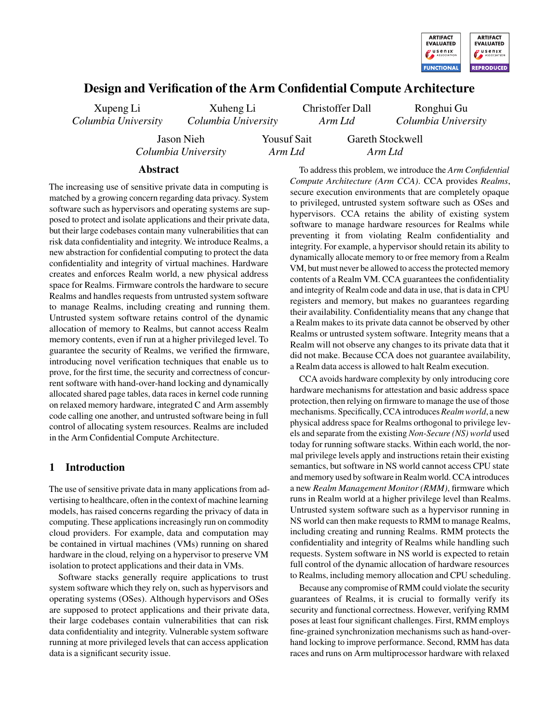

# Design and Verification of the Arm Confidential Compute Architecture

Xupeng Li *Columbia University*

*Columbia University* Jason Nieh

*Columbia University*

Xuheng Li

Christoffer Dall *Arm Ltd*

Yousuf Sait *Arm Ltd*

Ronghui Gu *Columbia University*

### Abstract

The increasing use of sensitive private data in computing is matched by a growing concern regarding data privacy. System software such as hypervisors and operating systems are supposed to protect and isolate applications and their private data, but their large codebases contain many vulnerabilities that can risk data confidentiality and integrity. We introduce Realms, a new abstraction for confidential computing to protect the data confidentiality and integrity of virtual machines. Hardware creates and enforces Realm world, a new physical address space for Realms. Firmware controls the hardware to secure Realms and handles requests from untrusted system software to manage Realms, including creating and running them. Untrusted system software retains control of the dynamic allocation of memory to Realms, but cannot access Realm memory contents, even if run at a higher privileged level. To guarantee the security of Realms, we verified the firmware, introducing novel verification techniques that enable us to prove, for the first time, the security and correctness of concurrent software with hand-over-hand locking and dynamically allocated shared page tables, data races in kernel code running on relaxed memory hardware, integrated C and Arm assembly code calling one another, and untrusted software being in full control of allocating system resources. Realms are included in the Arm Confidential Compute Architecture.

# 1 Introduction

The use of sensitive private data in many applications from advertising to healthcare, often in the context of machine learning models, has raised concerns regarding the privacy of data in computing. These applications increasingly run on commodity cloud providers. For example, data and computation may be contained in virtual machines (VMs) running on shared hardware in the cloud, relying on a hypervisor to preserve VM isolation to protect applications and their data in VMs.

Software stacks generally require applications to trust system software which they rely on, such as hypervisors and operating systems (OSes). Although hypervisors and OSes are supposed to protect applications and their private data, their large codebases contain vulnerabilities that can risk data confidentiality and integrity. Vulnerable system software running at more privileged levels that can access application data is a significant security issue.

To address this problem, we introduce the *Arm Confidential Compute Architecture (Arm CCA)*. CCA provides *Realms*, secure execution environments that are completely opaque to privileged, untrusted system software such as OSes and hypervisors. CCA retains the ability of existing system software to manage hardware resources for Realms while preventing it from violating Realm confidentiality and integrity. For example, a hypervisor should retain its ability to dynamically allocate memory to or free memory from a Realm VM, but must never be allowed to access the protected memory contents of a Realm VM. CCA guarantees the confidentiality and integrity of Realm code and data in use, that is data in CPU registers and memory, but makes no guarantees regarding their availability. Confidentiality means that any change that a Realm makes to its private data cannot be observed by other Realms or untrusted system software. Integrity means that a Realm will not observe any changes to its private data that it did not make. Because CCA does not guarantee availability, a Realm data access is allowed to halt Realm execution.

Gareth Stockwell *Arm Ltd*

CCA avoids hardware complexity by only introducing core hardware mechanisms for attestation and basic address space protection, then relying on firmware to manage the use of those mechanisms. Specifically, CCA introduces *Realm world*, a new physical address space for Realms orthogonal to privilege levels and separate from the existing *Non-Secure (NS) world* used today for running software stacks. Within each world, the normal privilege levels apply and instructions retain their existing semantics, but software in NS world cannot access CPU state and memory used by software in Realm world. CCA introduces a new *Realm Management Monitor (RMM)*, firmware which runs in Realm world at a higher privilege level than Realms. Untrusted system software such as a hypervisor running in NS world can then make requests to RMM to manage Realms, including creating and running Realms. RMM protects the confidentiality and integrity of Realms while handling such requests. System software in NS world is expected to retain full control of the dynamic allocation of hardware resources to Realms, including memory allocation and CPU scheduling.

Because any compromise of RMM could violate the security guarantees of Realms, it is crucial to formally verify its security and functional correctness. However, verifying RMM poses at least four significant challenges. First, RMM employs fine-grained synchronization mechanisms such as hand-overhand locking to improve performance. Second, RMM has data races and runs on Arm multiprocessor hardware with relaxed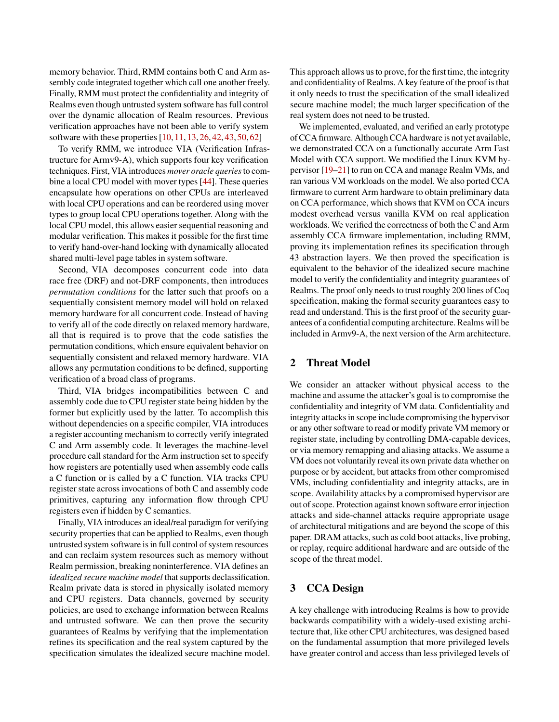memory behavior. Third, RMM contains both C and Arm assembly code integrated together which call one another freely. Finally, RMM must protect the confidentiality and integrity of Realms even though untrusted system software has full control over the dynamic allocation of Realm resources. Previous verification approaches have not been able to verify system software with these properties [\[10,](#page-16-0) [11,](#page-16-1) [13,](#page-16-2) [26,](#page-17-0) [42,](#page-18-0) [43,](#page-18-1) [50,](#page-18-2) [62\]](#page-19-0)

To verify RMM, we introduce VIA (Verification Infrastructure for Armv9-A), which supports four key verification techniques. First, VIA introduces *mover oracle queries*to combine a local CPU model with mover types [\[44\]](#page-18-3). These queries encapsulate how operations on other CPUs are interleaved with local CPU operations and can be reordered using mover types to group local CPU operations together. Along with the local CPU model, this allows easier sequential reasoning and modular verification. This makes it possible for the first time to verify hand-over-hand locking with dynamically allocated shared multi-level page tables in system software.

Second, VIA decomposes concurrent code into data race free (DRF) and not-DRF components, then introduces *permutation conditions* for the latter such that proofs on a sequentially consistent memory model will hold on relaxed memory hardware for all concurrent code. Instead of having to verify all of the code directly on relaxed memory hardware, all that is required is to prove that the code satisfies the permutation conditions, which ensure equivalent behavior on sequentially consistent and relaxed memory hardware. VIA allows any permutation conditions to be defined, supporting verification of a broad class of programs.

Third, VIA bridges incompatibilities between C and assembly code due to CPU register state being hidden by the former but explicitly used by the latter. To accomplish this without dependencies on a specific compiler, VIA introduces a register accounting mechanism to correctly verify integrated C and Arm assembly code. It leverages the machine-level procedure call standard for the Arm instruction set to specify how registers are potentially used when assembly code calls a C function or is called by a C function. VIA tracks CPU register state across invocations of both C and assembly code primitives, capturing any information flow through CPU registers even if hidden by C semantics.

Finally, VIA introduces an ideal/real paradigm for verifying security properties that can be applied to Realms, even though untrusted system software is in full control of system resources and can reclaim system resources such as memory without Realm permission, breaking noninterference. VIA defines an *idealized secure machine model* that supports declassification. Realm private data is stored in physically isolated memory and CPU registers. Data channels, governed by security policies, are used to exchange information between Realms and untrusted software. We can then prove the security guarantees of Realms by verifying that the implementation refines its specification and the real system captured by the specification simulates the idealized secure machine model. This approach allows us to prove, for the first time, the integrity and confidentiality of Realms. A key feature of the proof is that it only needs to trust the specification of the small idealized secure machine model; the much larger specification of the real system does not need to be trusted.

We implemented, evaluated, and verified an early prototype of CCA firmware. Although CCA hardware is not yet available, we demonstrated CCA on a functionally accurate Arm Fast Model with CCA support. We modified the Linux KVM hypervisor [\[19](#page-16-3)[–21\]](#page-17-1) to run on CCA and manage Realm VMs, and ran various VM workloads on the model. We also ported CCA firmware to current Arm hardware to obtain preliminary data on CCA performance, which shows that KVM on CCA incurs modest overhead versus vanilla KVM on real application workloads. We verified the correctness of both the C and Arm assembly CCA firmware implementation, including RMM, proving its implementation refines its specification through 43 abstraction layers. We then proved the specification is equivalent to the behavior of the idealized secure machine model to verify the confidentiality and integrity guarantees of Realms. The proof only needs to trust roughly 200 lines of Coq specification, making the formal security guarantees easy to read and understand. This is the first proof of the security guarantees of a confidential computing architecture. Realms will be included in Armv9-A, the next version of the Arm architecture.

# 2 Threat Model

We consider an attacker without physical access to the machine and assume the attacker's goal is to compromise the confidentiality and integrity of VM data. Confidentiality and integrity attacks in scope include compromising the hypervisor or any other software to read or modify private VM memory or register state, including by controlling DMA-capable devices, or via memory remapping and aliasing attacks. We assume a VM does not voluntarily reveal its own private data whether on purpose or by accident, but attacks from other compromised VMs, including confidentiality and integrity attacks, are in scope. Availability attacks by a compromised hypervisor are out of scope. Protection against known software error injection attacks and side-channel attacks require appropriate usage of architectural mitigations and are beyond the scope of this paper. DRAM attacks, such as cold boot attacks, live probing, or replay, require additional hardware and are outside of the scope of the threat model.

# <span id="page-1-0"></span>3 CCA Design

A key challenge with introducing Realms is how to provide backwards compatibility with a widely-used existing architecture that, like other CPU architectures, was designed based on the fundamental assumption that more privileged levels have greater control and access than less privileged levels of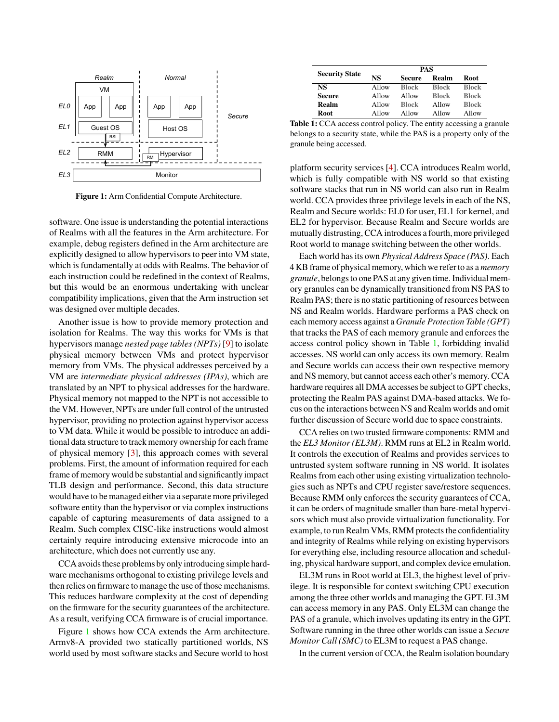<span id="page-2-0"></span>

Figure 1: Arm Confidential Compute Architecture.

software. One issue is understanding the potential interactions of Realms with all the features in the Arm architecture. For example, debug registers defined in the Arm architecture are explicitly designed to allow hypervisors to peer into VM state, which is fundamentally at odds with Realms. The behavior of each instruction could be redefined in the context of Realms, but this would be an enormous undertaking with unclear compatibility implications, given that the Arm instruction set was designed over multiple decades.

Another issue is how to provide memory protection and isolation for Realms. The way this works for VMs is that hypervisors manage *nested page tables (NPTs)* [\[9\]](#page-16-4) to isolate physical memory between VMs and protect hypervisor memory from VMs. The physical addresses perceived by a VM are *intermediate physical addresses (IPAs)*, which are translated by an NPT to physical addresses for the hardware. Physical memory not mapped to the NPT is not accessible to the VM. However, NPTs are under full control of the untrusted hypervisor, providing no protection against hypervisor access to VM data. While it would be possible to introduce an additional data structure to track memory ownership for each frame of physical memory [\[3\]](#page-16-5), this approach comes with several problems. First, the amount of information required for each frame of memory would be substantial and significantly impact TLB design and performance. Second, this data structure would have to be managed either via a separate more privileged software entity than the hypervisor or via complex instructions capable of capturing measurements of data assigned to a Realm. Such complex CISC-like instructions would almost certainly require introducing extensive microcode into an architecture, which does not currently use any.

CCA avoids these problems by only introducing simple hardware mechanisms orthogonal to existing privilege levels and then relies on firmware to manage the use of those mechanisms. This reduces hardware complexity at the cost of depending on the firmware for the security guarantees of the architecture. As a result, verifying CCA firmware is of crucial importance.

Figure [1](#page-2-0) shows how CCA extends the Arm architecture. Armv8-A provided two statically partitioned worlds, NS world used by most software stacks and Secure world to host

<span id="page-2-1"></span>

| <b>Security State</b> | PAS   |              |              |              |  |
|-----------------------|-------|--------------|--------------|--------------|--|
|                       | NS    | Secure       | Realm        | <b>Root</b>  |  |
| NS                    | Allow | <b>Block</b> | <b>Block</b> | <b>Block</b> |  |
| Secure                | Allow | Allow        | <b>Block</b> | <b>Block</b> |  |
| Realm                 | Allow | <b>Block</b> | Allow        | <b>Block</b> |  |
| <b>Root</b>           | Allow | Allow        | Allow        | Allow        |  |

Table 1: CCA access control policy. The entity accessing a granule belongs to a security state, while the PAS is a property only of the granule being accessed.

platform security services [\[4\]](#page-16-6). CCA introduces Realm world, which is fully compatible with NS world so that existing software stacks that run in NS world can also run in Realm world. CCA provides three privilege levels in each of the NS, Realm and Secure worlds: EL0 for user, EL1 for kernel, and EL2 for hypervisor. Because Realm and Secure worlds are mutually distrusting, CCA introduces a fourth, more privileged Root world to manage switching between the other worlds.

Each world has its own *Physical Address Space (PAS)*. Each 4 KB frame of physical memory, which we refer to as a *memory granule*, belongs to one PAS at any given time. Individual memory granules can be dynamically transitioned from NS PAS to Realm PAS; there is no static partitioning of resources between NS and Realm worlds. Hardware performs a PAS check on each memory access against a *Granule Protection Table (GPT)* that tracks the PAS of each memory granule and enforces the access control policy shown in Table [1,](#page-2-1) forbidding invalid accesses. NS world can only access its own memory. Realm and Secure worlds can access their own respective memory and NS memory, but cannot access each other's memory. CCA hardware requires all DMA accesses be subject to GPT checks, protecting the Realm PAS against DMA-based attacks. We focus on the interactions between NS and Realm worlds and omit further discussion of Secure world due to space constraints.

CCA relies on two trusted firmware components: RMM and the *EL3 Monitor (EL3M)*. RMM runs at EL2 in Realm world. It controls the execution of Realms and provides services to untrusted system software running in NS world. It isolates Realms from each other using existing virtualization technologies such as NPTs and CPU register save/restore sequences. Because RMM only enforces the security guarantees of CCA, it can be orders of magnitude smaller than bare-metal hypervisors which must also provide virtualization functionality. For example, to run Realm VMs, RMM protects the confidentiality and integrity of Realms while relying on existing hypervisors for everything else, including resource allocation and scheduling, physical hardware support, and complex device emulation.

EL3M runs in Root world at EL3, the highest level of privilege. It is responsible for context switching CPU execution among the three other worlds and managing the GPT. EL3M can access memory in any PAS. Only EL3M can change the PAS of a granule, which involves updating its entry in the GPT. Software running in the three other worlds can issue a *Secure Monitor Call (SMC)* to EL3M to request a PAS change.

In the current version of CCA, the Realm isolation boundary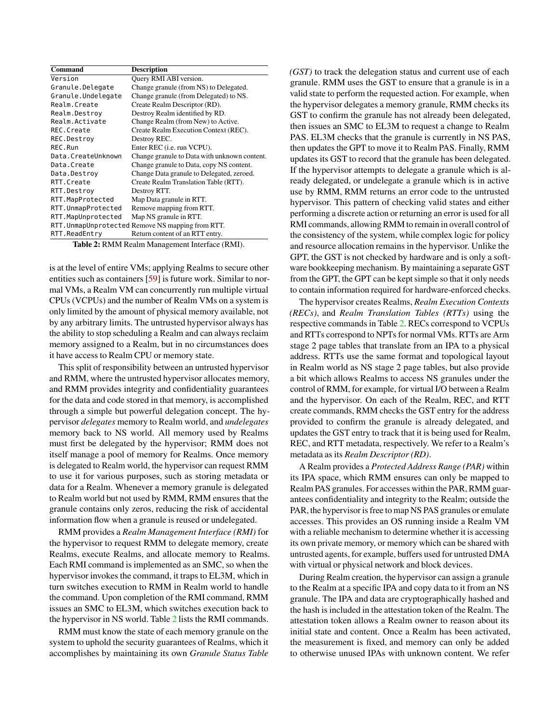<span id="page-3-0"></span>

| <b>Command</b>     | <b>Description</b>                                |
|--------------------|---------------------------------------------------|
| Version            | Query RMI ABI version.                            |
| Granule.Delegate   | Change granule (from NS) to Delegated.            |
| Granule.Undelegate | Change granule (from Delegated) to NS.            |
| Realm.Create       | Create Realm Descriptor (RD).                     |
| Realm.Destroy      | Destroy Realm identified by RD.                   |
| Realm.Activate     | Change Realm (from New) to Active.                |
| REC.Create         | Create Realm Execution Context (REC).             |
| REC.Destroy        | Destroy REC.                                      |
| REC.Run            | Enter REC ( <i>i.e.</i> run VCPU).                |
| Data.CreateUnknown | Change granule to Data with unknown content.      |
| Data.Create        | Change granule to Data, copy NS content.          |
| Data.Destroy       | Change Data granule to Delegated, zeroed.         |
| RTT.Create         | Create Realm Translation Table (RTT).             |
| RTT.Destroy        | Destroy RTT.                                      |
| RTT.MapProtected   | Map Data granule in RTT.                          |
| RTT.UnmapProtected | Remove mapping from RTT.                          |
| RTT.MapUnprotected | Map NS granule in RTT.                            |
|                    | RTT. UnmapUnprotected Remove NS mapping from RTT. |
| RTT.ReadEntry      | Return content of an RTT entry.                   |

Table 2: RMM Realm Management Interface (RMI).

is at the level of entire VMs; applying Realms to secure other entities such as containers [\[59\]](#page-19-1) is future work. Similar to normal VMs, a Realm VM can concurrently run multiple virtual CPUs (VCPUs) and the number of Realm VMs on a system is only limited by the amount of physical memory available, not by any arbitrary limits. The untrusted hypervisor always has the ability to stop scheduling a Realm and can always reclaim memory assigned to a Realm, but in no circumstances does it have access to Realm CPU or memory state.

This split of responsibility between an untrusted hypervisor and RMM, where the untrusted hypervisor allocates memory, and RMM provides integrity and confidentiality guarantees for the data and code stored in that memory, is accomplished through a simple but powerful delegation concept. The hypervisor *delegates* memory to Realm world, and *undelegates* memory back to NS world. All memory used by Realms must first be delegated by the hypervisor; RMM does not itself manage a pool of memory for Realms. Once memory is delegated to Realm world, the hypervisor can request RMM to use it for various purposes, such as storing metadata or data for a Realm. Whenever a memory granule is delegated to Realm world but not used by RMM, RMM ensures that the granule contains only zeros, reducing the risk of accidental information flow when a granule is reused or undelegated.

RMM provides a *Realm Management Interface (RMI)* for the hypervisor to request RMM to delegate memory, create Realms, execute Realms, and allocate memory to Realms. Each RMI command is implemented as an SMC, so when the hypervisor invokes the command, it traps to EL3M, which in turn switches execution to RMM in Realm world to handle the command. Upon completion of the RMI command, RMM issues an SMC to EL3M, which switches execution back to the hypervisor in NS world. Table [2](#page-3-0) lists the RMI commands.

RMM must know the state of each memory granule on the system to uphold the security guarantees of Realms, which it accomplishes by maintaining its own *Granule Status Table* *(GST)* to track the delegation status and current use of each granule. RMM uses the GST to ensure that a granule is in a valid state to perform the requested action. For example, when the hypervisor delegates a memory granule, RMM checks its GST to confirm the granule has not already been delegated, then issues an SMC to EL3M to request a change to Realm PAS. EL3M checks that the granule is currently in NS PAS, then updates the GPT to move it to Realm PAS. Finally, RMM updates its GST to record that the granule has been delegated. If the hypervisor attempts to delegate a granule which is already delegated, or undelegate a granule which is in active use by RMM, RMM returns an error code to the untrusted hypervisor. This pattern of checking valid states and either performing a discrete action or returning an error is used for all RMI commands, allowing RMM to remain in overall control of the consistency of the system, while complex logic for policy and resource allocation remains in the hypervisor. Unlike the GPT, the GST is not checked by hardware and is only a software bookkeeping mechanism. By maintaining a separate GST from the GPT, the GPT can be kept simple so that it only needs to contain information required for hardware-enforced checks.

The hypervisor creates Realms, *Realm Execution Contexts (RECs)*, and *Realm Translation Tables (RTTs)* using the respective commands in Table [2.](#page-3-0) RECs correspond to VCPUs and RTTs correspond to NPTs for normal VMs. RTTs are Arm stage 2 page tables that translate from an IPA to a physical address. RTTs use the same format and topological layout in Realm world as NS stage 2 page tables, but also provide a bit which allows Realms to access NS granules under the control of RMM, for example, for virtual I/O between a Realm and the hypervisor. On each of the Realm, REC, and RTT create commands, RMM checks the GST entry for the address provided to confirm the granule is already delegated, and updates the GST entry to track that it is being used for Realm, REC, and RTT metadata, respectively. We refer to a Realm's metadata as its *Realm Descriptor (RD)*.

A Realm provides a *Protected Address Range (PAR)* within its IPA space, which RMM ensures can only be mapped to Realm PAS granules. For accesses within the PAR, RMM guarantees confidentiality and integrity to the Realm; outside the PAR, the hypervisor is free to map NS PAS granules or emulate accesses. This provides an OS running inside a Realm VM with a reliable mechanism to determine whether it is accessing its own private memory, or memory which can be shared with untrusted agents, for example, buffers used for untrusted DMA with virtual or physical network and block devices.

During Realm creation, the hypervisor can assign a granule to the Realm at a specific IPA and copy data to it from an NS granule. The IPA and data are cryptographically hashed and the hash is included in the attestation token of the Realm. The attestation token allows a Realm owner to reason about its initial state and content. Once a Realm has been activated, the measurement is fixed, and memory can only be added to otherwise unused IPAs with unknown content. We refer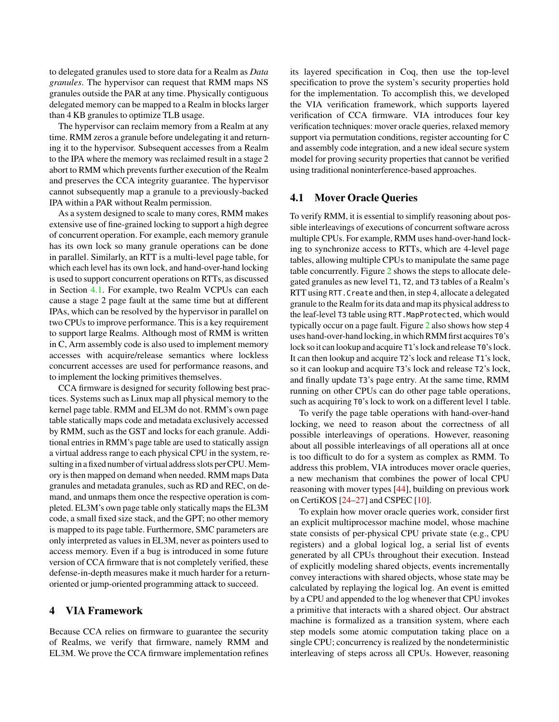to delegated granules used to store data for a Realm as *Data granules*. The hypervisor can request that RMM maps NS granules outside the PAR at any time. Physically contiguous delegated memory can be mapped to a Realm in blocks larger than 4 KB granules to optimize TLB usage.

The hypervisor can reclaim memory from a Realm at any time. RMM zeros a granule before undelegating it and returning it to the hypervisor. Subsequent accesses from a Realm to the IPA where the memory was reclaimed result in a stage 2 abort to RMM which prevents further execution of the Realm and preserves the CCA integrity guarantee. The hypervisor cannot subsequently map a granule to a previously-backed IPA within a PAR without Realm permission.

As a system designed to scale to many cores, RMM makes extensive use of fine-grained locking to support a high degree of concurrent operation. For example, each memory granule has its own lock so many granule operations can be done in parallel. Similarly, an RTT is a multi-level page table, for which each level has its own lock, and hand-over-hand locking is used to support concurrent operations on RTTs, as discussed in Section [4.1.](#page-4-0) For example, two Realm VCPUs can each cause a stage 2 page fault at the same time but at different IPAs, which can be resolved by the hypervisor in parallel on two CPUs to improve performance. This is a key requirement to support large Realms. Although most of RMM is written in C, Arm assembly code is also used to implement memory accesses with acquire/release semantics where lockless concurrent accesses are used for performance reasons, and to implement the locking primitives themselves.

CCA firmware is designed for security following best practices. Systems such as Linux map all physical memory to the kernel page table. RMM and EL3M do not. RMM's own page table statically maps code and metadata exclusively accessed by RMM, such as the GST and locks for each granule. Additional entries in RMM's page table are used to statically assign a virtual address range to each physical CPU in the system, resulting in a fixed number of virtual address slots perCPU. Memory is then mapped on demand when needed. RMM maps Data granules and metadata granules, such as RD and REC, on demand, and unmaps them once the respective operation is completed. EL3M's own page table only statically maps the EL3M code, a small fixed size stack, and the GPT; no other memory is mapped to its page table. Furthermore, SMC parameters are only interpreted as values in EL3M, never as pointers used to access memory. Even if a bug is introduced in some future version of CCA firmware that is not completely verified, these defense-in-depth measures make it much harder for a returnoriented or jump-oriented programming attack to succeed.

### 4 VIA Framework

Because CCA relies on firmware to guarantee the security of Realms, we verify that firmware, namely RMM and EL3M. We prove the CCA firmware implementation refines its layered specification in Coq, then use the top-level specification to prove the system's security properties hold for the implementation. To accomplish this, we developed the VIA verification framework, which supports layered verification of CCA firmware. VIA introduces four key verification techniques: mover oracle queries, relaxed memory support via permutation conditions, register accounting for C and assembly code integration, and a new ideal secure system model for proving security properties that cannot be verified using traditional noninterference-based approaches.

### <span id="page-4-0"></span>4.1 Mover Oracle Queries

To verify RMM, it is essential to simplify reasoning about possible interleavings of executions of concurrent software across multiple CPUs. For example, RMM uses hand-over-hand locking to synchronize access to RTTs, which are 4-level page tables, allowing multiple CPUs to manipulate the same page table concurrently. Figure [2](#page-5-0) shows the steps to allocate delegated granules as new level T1, T2, and T3 tables of a Realm's RTT using RTT.Create and then, in step 4, allocate a delegated granule to the Realm for its data and map its physical address to the leaf-level T3 table using RTT.MapProtected, which would typically occur on a page fault. Figure [2](#page-5-0) also shows how step 4 uses hand-over-hand locking, in which RMM first acquires  $T0$ 's lock so it can lookup and acquire T1's lock and release T0's lock. It can then lookup and acquire T2's lock and release T1's lock, so it can lookup and acquire T3's lock and release T2's lock, and finally update T3's page entry. At the same time, RMM running on other CPUs can do other page table operations, such as acquiring T0's lock to work on a different level 1 table.

To verify the page table operations with hand-over-hand locking, we need to reason about the correctness of all possible interleavings of operations. However, reasoning about all possible interleavings of all operations all at once is too difficult to do for a system as complex as RMM. To address this problem, VIA introduces mover oracle queries, a new mechanism that combines the power of local CPU reasoning with mover types [\[44\]](#page-18-3), building on previous work on CertiKOS [\[24–](#page-17-2)[27\]](#page-17-3) and CSPEC [\[10\]](#page-16-0).

To explain how mover oracle queries work, consider first an explicit multiprocessor machine model, whose machine state consists of per-physical CPU private state (e.g., CPU registers) and a global logical log, a serial list of events generated by all CPUs throughout their execution. Instead of explicitly modeling shared objects, events incrementally convey interactions with shared objects, whose state may be calculated by replaying the logical log. An event is emitted by a CPU and appended to the log whenever that CPU invokes a primitive that interacts with a shared object. Our abstract machine is formalized as a transition system, where each step models some atomic computation taking place on a single CPU; concurrency is realized by the nondeterministic interleaving of steps across all CPUs. However, reasoning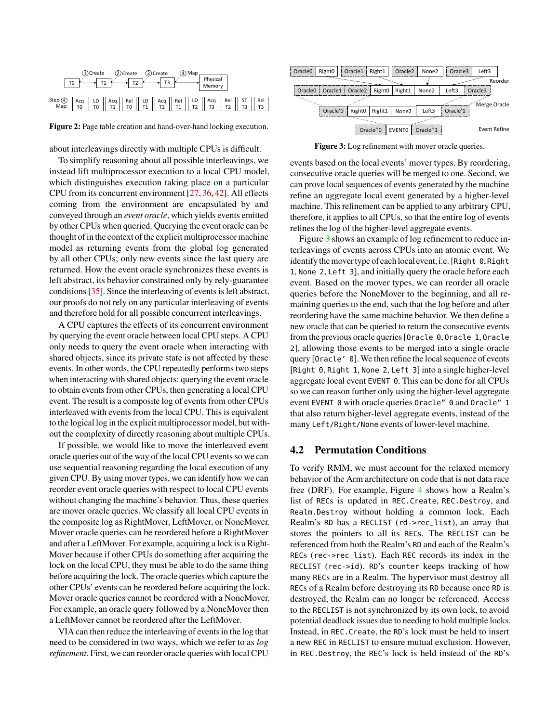<span id="page-5-0"></span>

Figure 2: Page table creation and hand-over-hand locking execution.

about interleavings directly with multiple CPUs is difficult.

To simplify reasoning about all possible interleavings, we instead lift multiprocessor execution to a local CPU model, which distinguishes execution taking place on a particular CPU from its concurrent environment [\[27,](#page-17-3) [36,](#page-17-4) [42\]](#page-18-0). All effects coming from the environment are encapsulated by and conveyed through an *event oracle*, which yields events emitted by other CPUs when queried. Querying the event oracle can be thought of in the context of the explicit multiprocessor machine model as returning events from the global log generated by all other CPUs; only new events since the last query are returned. How the event oracle synchronizes these events is left abstract, its behavior constrained only by rely-guarantee conditions [\[35\]](#page-17-5). Since the interleaving of events is left abstract, our proofs do not rely on any particular interleaving of events and therefore hold for all possible concurrent interleavings.

A CPU captures the effects of its concurrent environment by querying the event oracle between local CPU steps. A CPU only needs to query the event oracle when interacting with shared objects, since its private state is not affected by these events. In other words, the CPU repeatedly performs two steps when interacting with shared objects: querying the event oracle to obtain events from other CPUs, then generating a local CPU event. The result is a composite log of events from other CPUs interleaved with events from the local CPU. This is equivalent to the logical log in the explicit multiprocessor model, but without the complexity of directly reasoning about multiple CPUs.

If possible, we would like to move the interleaved event oracle queries out of the way of the local CPU events so we can use sequential reasoning regarding the local execution of any given CPU. By using mover types, we can identify how we can reorder event oracle queries with respect to local CPU events without changing the machine's behavior. Thus, these queries are mover oracle queries. We classify all local CPU events in the composite log as RightMover, LeftMover, or NoneMover. Mover oracle queries can be reordered before a RightMover and after a LeftMover. For example, acquiring a lock is a Right-Mover because if other CPUs do something after acquiring the lock on the local CPU, they must be able to do the same thing before acquiring the lock. The oracle queries which capture the other CPUs' events can be reordered before acquiring the lock. Mover oracle queries cannot be reordered with a NoneMover. For example, an oracle query followed by a NoneMover then a LeftMover cannot be reordered after the LeftMover.

VIA can then reduce the interleaving of events in the log that need to be considered in two ways, which we refer to as *log refinement*. First, we can reorder oracle queries with local CPU

<span id="page-5-1"></span>

Figure 3: Log refinement with mover oracle queries.

events based on the local events' mover types. By reordering, consecutive oracle queries will be merged to one. Second, we can prove local sequences of events generated by the machine refine an aggregate local event generated by a higher-level machine. This refinement can be applied to any arbitrary CPU, therefore, it applies to all CPUs, so that the entire log of events refines the log of the higher-level aggregate events.

Figure [3](#page-5-1) shows an example of log refinement to reduce interleavings of events across CPUs into an atomic event. We identify the mover type of each local event, i.e. [Right 0, Right 1, None 2, Left 3], and initially query the oracle before each event. Based on the mover types, we can reorder all oracle queries before the NoneMover to the beginning, and all remaining queries to the end, such that the log before and after reordering have the same machine behavior. We then define a new oracle that can be queried to return the consecutive events from the previous oracle queries [Oracle 0, Oracle 1, Oracle 2], allowing those events to be merged into a single oracle query [Oracle' 0]. We then refine the local sequence of events [Right 0, Right 1, None 2, Left 3] into a single higher-level aggregate local event EVENT 0. This can be done for all CPUs so we can reason further only using the higher-level aggregate event EVENT 0 with oracle queries Oracle" 0 and Oracle" 1 that also return higher-level aggregate events, instead of the many Left/Right/None events of lower-level machine.

# <span id="page-5-2"></span>4.2 Permutation Conditions

To verify RMM, we must account for the relaxed memory behavior of the Arm architecture on code that is not data race free (DRF). For example, Figure [4](#page-6-0) shows how a Realm's list of RECs is updated in REC.Create, REC.Destroy, and Realm.Destroy without holding a common lock. Each Realm's RD has a RECLIST (rd->rec\_list), an array that stores the pointers to all its RECs. The RECLIST can be referenced from both the Realm's RD and each of the Realm's RECs (rec->rec\_list). Each REC records its index in the RECLIST (rec->id). RD's counter keeps tracking of how many RECs are in a Realm. The hypervisor must destroy all RECs of a Realm before destroying its RD because once RD is destroyed, the Realm can no longer be referenced. Access to the RECLIST is not synchronized by its own lock, to avoid potential deadlock issues due to needing to hold multiple locks. Instead, in REC.Create, the RD's lock must be held to insert a new REC in RECLIST to ensure mutual exclusion. However, in REC.Destroy, the REC's lock is held instead of the RD's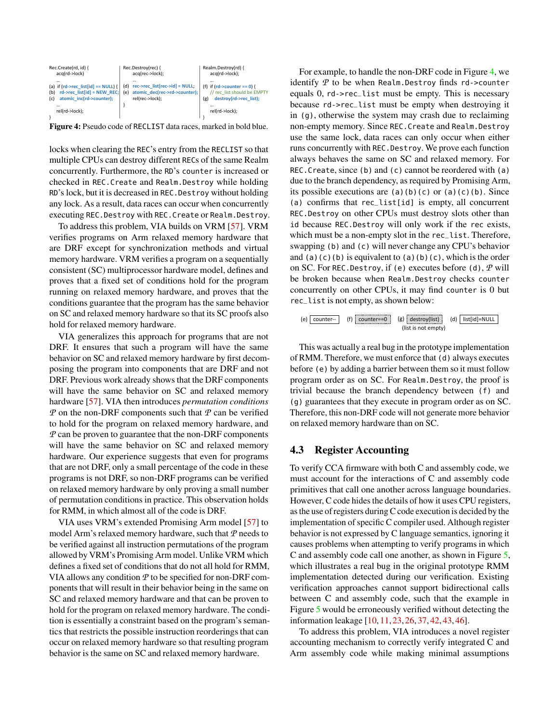<span id="page-6-0"></span>

Figure 4: Pseudo code of RECLIST data races, marked in bold blue.

locks when clearing the REC's entry from the RECLIST so that multiple CPUs can destroy different RECs of the same Realm concurrently. Furthermore, the RD's counter is increased or checked in REC.Create and Realm.Destroy while holding RD's lock, but it is decreased in REC.Destroy without holding any lock. As a result, data races can occur when concurrently executing REC.Destroy with REC.Create or Realm.Destroy.

To address this problem, VIA builds on VRM [\[57\]](#page-18-4). VRM verifies programs on Arm relaxed memory hardware that are DRF except for synchronization methods and virtual memory hardware. VRM verifies a program on a sequentially consistent (SC) multiprocessor hardware model, defines and proves that a fixed set of conditions hold for the program running on relaxed memory hardware, and proves that the conditions guarantee that the program has the same behavior on SC and relaxed memory hardware so that its SC proofs also hold for relaxed memory hardware.

VIA generalizes this approach for programs that are not DRF. It ensures that such a program will have the same behavior on SC and relaxed memory hardware by first decomposing the program into components that are DRF and not DRF. Previous work already shows that the DRF components will have the same behavior on SC and relaxed memory hardware [\[57\]](#page-18-4). VIA then introduces *permutation conditions P* on the non-DRF components such that *P* can be verified to hold for the program on relaxed memory hardware, and *P* can be proven to guarantee that the non-DRF components will have the same behavior on SC and relaxed memory hardware. Our experience suggests that even for programs that are not DRF, only a small percentage of the code in these programs is not DRF, so non-DRF programs can be verified on relaxed memory hardware by only proving a small number of permutation conditions in practice. This observation holds for RMM, in which almost all of the code is DRF.

VIA uses VRM's extended Promising Arm model [\[57\]](#page-18-4) to model Arm's relaxed memory hardware, such that *P* needs to be verified against all instruction permutations of the program allowed by VRM's Promising Arm model. Unlike VRM which defines a fixed set of conditions that do not all hold for RMM, VIA allows any condition *P* to be specified for non-DRF components that will result in their behavior being in the same on SC and relaxed memory hardware and that can be proven to hold for the program on relaxed memory hardware. The condition is essentially a constraint based on the program's semantics that restricts the possible instruction reorderings that can occur on relaxed memory hardware so that resulting program behavior is the same on SC and relaxed memory hardware.

For example, to handle the non-DRF code in Figure [4,](#page-6-0) we identify *P* to be when Realm.Destroy finds rd->counter equals 0, rd->rec\_list must be empty. This is necessary because rd->rec\_list must be empty when destroying it in (g), otherwise the system may crash due to reclaiming non-empty memory. Since REC.Create and Realm.Destroy use the same lock, data races can only occur when either runs concurrently with REC.Destroy. We prove each function always behaves the same on SC and relaxed memory. For REC.Create, since (b) and (c) cannot be reordered with (a) due to the branch dependency, as required by Promising Arm, its possible executions are  $(a)(b)(c)$  or  $(a)(c)(b)$ . Since (a) confirms that rec\_list[id] is empty, all concurrent REC.Destroy on other CPUs must destroy slots other than id because REC.Destroy will only work if the rec exists, which must be a non-empty slot in the rec\_list. Therefore, swapping (b) and (c) will never change any CPU's behavior and (a)(c)(b) is equivalent to (a)(b)(c), which is the order on SC. For REC.Destroy, if (e) executes before (d), *P* will be broken because when Realm.Destroy checks counter concurrently on other CPUs, it may find counter is 0 but rec\_list is not empty, as shown below:

(e) 
$$
\boxed{\text{counter--}}
$$
 (f)  $\boxed{\text{counter=-}}$  (g)  $\boxed{\text{destroy(list)}}$  (d)  $\boxed{\text{list}[id]=\text{NULL}}$  (list is not empty)

This was actually a real bug in the prototype implementation of RMM. Therefore, we must enforce that (d) always executes before (e) by adding a barrier between them so it must follow program order as on SC. For Realm.Destroy, the proof is trivial because the branch dependency between (f) and (g) guarantees that they execute in program order as on SC. Therefore, this non-DRF code will not generate more behavior on relaxed memory hardware than on SC.

### <span id="page-6-1"></span>4.3 Register Accounting

To verify CCA firmware with both C and assembly code, we must account for the interactions of C and assembly code primitives that call one another across language boundaries. However, C code hides the details of how it uses CPU registers, as the use of registers during C code execution is decided by the implementation of specific C compiler used. Although register behavior is not expressed by C language semantics, ignoring it causes problems when attempting to verify programs in which C and assembly code call one another, as shown in Figure [5,](#page-7-0) which illustrates a real bug in the original prototype RMM implementation detected during our verification. Existing verification approaches cannot support bidirectional calls between C and assembly code, such that the example in Figure [5](#page-7-0) would be erroneously verified without detecting the information leakage [\[10,](#page-16-0) [11,](#page-16-1) [23,](#page-17-6) [26,](#page-17-0) [37,](#page-17-7) [42,](#page-18-0) [43,](#page-18-1) [46\]](#page-18-5).

To address this problem, VIA introduces a novel register accounting mechanism to correctly verify integrated C and Arm assembly code while making minimal assumptions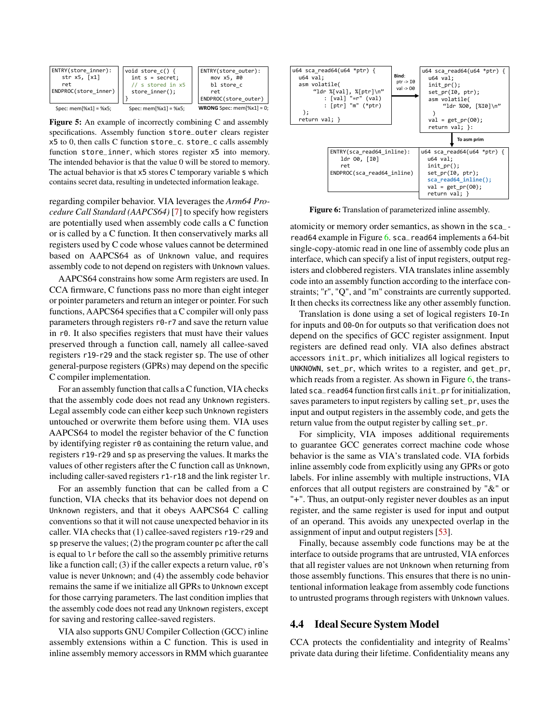<span id="page-7-0"></span>

Figure 5: An example of incorrectly combining C and assembly specifications. Assembly function store\_outer clears register x5 to 0, then calls C function store\_c. store\_c calls assembly function store\_inner, which stores register x5 into memory. The intended behavior is that the value 0 will be stored to memory. The actual behavior is that x5 stores C temporary variable s which contains secret data, resulting in undetected information leakage.

regarding compiler behavior. VIA leverages the *Arm64 Procedure Call Standard (AAPCS64)* [\[7\]](#page-16-7) to specify how registers are potentially used when assembly code calls a C function or is called by a C function. It then conservatively marks all registers used by C code whose values cannot be determined based on AAPCS64 as of Unknown value, and requires assembly code to not depend on registers with Unknown values.

AAPCS64 constrains how some Arm registers are used. In CCA firmware, C functions pass no more than eight integer or pointer parameters and return an integer or pointer. For such functions, AAPCS64 specifies that a C compiler will only pass parameters through registers r0-r7 and save the return value in r0. It also specifies registers that must have their values preserved through a function call, namely all callee-saved registers r19-r29 and the stack register sp. The use of other general-purpose registers (GPRs) may depend on the specific C compiler implementation.

For an assembly function that calls a C function, VIA checks that the assembly code does not read any Unknown registers. Legal assembly code can either keep such Unknown registers untouched or overwrite them before using them. VIA uses AAPCS64 to model the register behavior of the C function by identifying register r0 as containing the return value, and registers r19-r29 and sp as preserving the values. It marks the values of other registers after the C function call as Unknown, including caller-saved registers r1-r18 and the link register lr.

For an assembly function that can be called from a C function, VIA checks that its behavior does not depend on Unknown registers, and that it obeys AAPCS64 C calling conventions so that it will not cause unexpected behavior in its caller. VIA checks that (1) callee-saved registers r19-r29 and sp preserve the values; (2) the program counter pc after the call is equal to lr before the call so the assembly primitive returns like a function call; (3) if the caller expects a return value,  $r\theta$ 's value is never Unknown; and (4) the assembly code behavior remains the same if we initialize all GPRs to Unknown except for those carrying parameters. The last condition implies that the assembly code does not read any Unknown registers, except for saving and restoring callee-saved registers.

VIA also supports GNU Compiler Collection (GCC) inline assembly extensions within a C function. This is used in inline assembly memory accessors in RMM which guarantee

<span id="page-7-1"></span>

Figure 6: Translation of parameterized inline assembly.

atomicity or memory order semantics, as shown in the sca\_ read64 example in Figure  $6.$  sca\_read64 implements a 64-bit single-copy-atomic read in one line of assembly code plus an interface, which can specify a list of input registers, output registers and clobbered registers. VIA translates inline assembly code into an assembly function according to the interface constraints; "r", "Q", and "m" constraints are currently supported. It then checks its correctness like any other assembly function.

Translation is done using a set of logical registers I0-In for inputs and O0-On for outputs so that verification does not depend on the specifics of GCC register assignment. Input registers are defined read only. VIA also defines abstract accessors init\_pr, which initializes all logical registers to UNKNOWN, set\_pr, which writes to a register, and get\_pr, which reads from a register. As shown in Figure  $6$ , the translated sca\_read64 function first calls init\_pr for initialization, saves parameters to input registers by calling set\_pr, uses the input and output registers in the assembly code, and gets the return value from the output register by calling set\_pr.

For simplicity, VIA imposes additional requirements to guarantee GCC generates correct machine code whose behavior is the same as VIA's translated code. VIA forbids inline assembly code from explicitly using any GPRs or goto labels. For inline assembly with multiple instructions, VIA enforces that all output registers are constrained by "&" or "+". Thus, an output-only register never doubles as an input register, and the same register is used for input and output of an operand. This avoids any unexpected overlap in the assignment of input and output registers [\[53\]](#page-18-6).

Finally, because assembly code functions may be at the interface to outside programs that are untrusted, VIA enforces that all register values are not Unknown when returning from those assembly functions. This ensures that there is no unintentional information leakage from assembly code functions to untrusted programs through registers with Unknown values.

#### <span id="page-7-2"></span>4.4 Ideal Secure System Model

CCA protects the confidentiality and integrity of Realms' private data during their lifetime. Confidentiality means any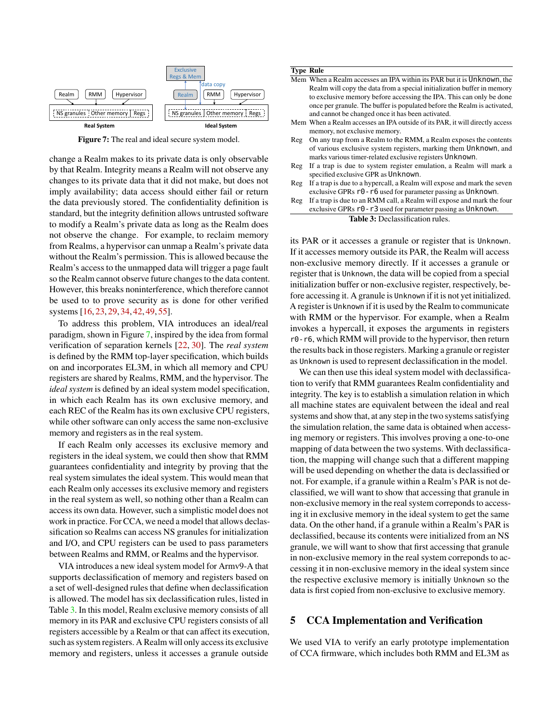<span id="page-8-0"></span>

Figure 7: The real and ideal secure system model.

change a Realm makes to its private data is only observable by that Realm. Integrity means a Realm will not observe any changes to its private data that it did not make, but does not imply availability; data access should either fail or return the data previously stored. The confidentiality definition is standard, but the integrity definition allows untrusted software to modify a Realm's private data as long as the Realm does not observe the change. For example, to reclaim memory from Realms, a hypervisor can unmap a Realm's private data without the Realm's permission. This is allowed because the Realm's access to the unmapped data will trigger a page fault so the Realm cannot observe future changes to the data content. However, this breaks noninterference, which therefore cannot be used to to prove security as is done for other verified systems [\[16,](#page-16-8) [23,](#page-17-6) [29,](#page-17-8) [34,](#page-17-9) [42,](#page-18-0) [49,](#page-18-7) [55\]](#page-18-8).

To address this problem, VIA introduces an ideal/real paradigm, shown in Figure [7,](#page-8-0) inspired by the idea from formal verification of separation kernels [\[22,](#page-17-10) [30\]](#page-17-11). The *real system* is defined by the RMM top-layer specification, which builds on and incorporates EL3M, in which all memory and CPU registers are shared by Realms, RMM, and the hypervisor. The *ideal system* is defined by an ideal system model specification, in which each Realm has its own exclusive memory, and each REC of the Realm has its own exclusive CPU registers, while other software can only access the same non-exclusive memory and registers as in the real system.

If each Realm only accesses its exclusive memory and registers in the ideal system, we could then show that RMM guarantees confidentiality and integrity by proving that the real system simulates the ideal system. This would mean that each Realm only accesses its exclusive memory and registers in the real system as well, so nothing other than a Realm can access its own data. However, such a simplistic model does not work in practice. For CCA, we need a model that allows declassification so Realms can access NS granules for initialization and I/O, and CPU registers can be used to pass parameters between Realms and RMM, or Realms and the hypervisor.

VIA introduces a new ideal system model for Armv9-A that supports declassification of memory and registers based on a set of well-designed rules that define when declassification is allowed. The model has six declassification rules, listed in Table [3.](#page-8-1) In this model, Realm exclusive memory consists of all memory in its PAR and exclusive CPU registers consists of all registers accessible by a Realm or that can affect its execution, such as system registers. A Realm will only access its exclusive memory and registers, unless it accesses a granule outside

#### <span id="page-8-1"></span>Type Rule

| Mem When a Realm accesses an IPA within its PAR but it is Unknown, the       |
|------------------------------------------------------------------------------|
| Realm will copy the data from a special initialization buffer in memory      |
| to exclusive memory before accessing the IPA. This can only be done          |
| once per granule. The buffer is populated before the Realm is activated,     |
| and cannot be changed once it has been activated.                            |
| Mem When a Realm accesses an IPA outside of its PAR, it will directly access |
| memory, not exclusive memory.                                                |
| On any trap from a Realm to the RMM, a Realm exposes the contents            |
|                                                                              |

- of various exclusive system registers, marking them Unknown, and marks various timer-related exclusive registers Unknown.
- Reg If a trap is due to system register emulation, a Realm will mark a specified exclusive GPR as Unknown.
- Reg If a trap is due to a hypercall, a Realm will expose and mark the seven exclusive GPRs  $r0 - r6$  used for parameter passing as Unknown.
- Reg If a trap is due to an RMM call, a Realm will expose and mark the four exclusive GPRs  $r0 - r3$  used for parameter passing as Unknown.

#### Table 3: Declassification rules.

its PAR or it accesses a granule or register that is Unknown. If it accesses memory outside its PAR, the Realm will access non-exclusive memory directly. If it accesses a granule or register that is Unknown, the data will be copied from a special initialization buffer or non-exclusive register, respectively, before accessing it. A granule is Unknown if it is not yet initialized. A register is Unknown if it is used by the Realm to communicate with RMM or the hypervisor. For example, when a Realm invokes a hypercall, it exposes the arguments in registers r0-r6, which RMM will provide to the hypervisor, then return the results back in those registers. Marking a granule or register as Unknown is used to represent declassification in the model.

We can then use this ideal system model with declassification to verify that RMM guarantees Realm confidentiality and integrity. The key is to establish a simulation relation in which all machine states are equivalent between the ideal and real systems and show that, at any step in the two systems satisfying the simulation relation, the same data is obtained when accessing memory or registers. This involves proving a one-to-one mapping of data between the two systems. With declassification, the mapping will change such that a different mapping will be used depending on whether the data is declassified or not. For example, if a granule within a Realm's PAR is not declassified, we will want to show that accessing that granule in non-exclusive memory in the real system correponds to accessing it in exclusive memory in the ideal system to get the same data. On the other hand, if a granule within a Realm's PAR is declassified, because its contents were initialized from an NS granule, we will want to show that first accessing that granule in non-exclusive memory in the real system correponds to accessing it in non-exclusive memory in the ideal system since the respective exclusive memory is initially Unknown so the data is first copied from non-exclusive to exclusive memory.

### 5 CCA Implementation and Verification

We used VIA to verify an early prototype implementation of CCA firmware, which includes both RMM and EL3M as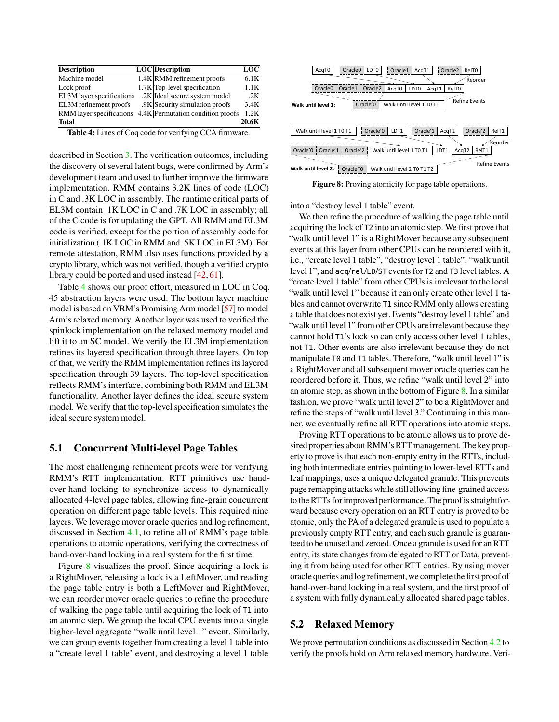<span id="page-9-0"></span>

| <b>Description</b>        | LOC Description                                            | LOC   |
|---------------------------|------------------------------------------------------------|-------|
| Machine model             | $1.4K$ RMM refinement proofs                               | 6.1K  |
| Lock proof                | 1.7K Top-level specification                               | 1.1K  |
| EL3M layer specifications | .2K Ideal secure system model                              | .2K   |
| EL3M refinement proofs    | .9K Security simulation proofs                             | 3.4K  |
|                           | RMM layer specifications 4.4K Permutation condition proofs | 1.2K  |
| <b>Total</b>              |                                                            | 20.6K |

Table 4: Lines of Coq code for verifying CCA firmware.

described in Section [3.](#page-1-0) The verification outcomes, including the discovery of several latent bugs, were confirmed by Arm's development team and used to further improve the firmware implementation. RMM contains 3.2K lines of code (LOC) in C and .3K LOC in assembly. The runtime critical parts of EL3M contain .1K LOC in C and .7K LOC in assembly; all of the C code is for updating the GPT. All RMM and EL3M code is verified, except for the portion of assembly code for initialization (.1K LOC in RMM and .5K LOC in EL3M). For remote attestation, RMM also uses functions provided by a crypto library, which was not verified, though a verified crypto library could be ported and used instead [\[42,](#page-18-0) [61\]](#page-19-2).

Table [4](#page-9-0) shows our proof effort, measured in LOC in Coq. 45 abstraction layers were used. The bottom layer machine model is based on VRM's Promising Arm model [\[57\]](#page-18-4) to model Arm's relaxed memory. Another layer was used to verified the spinlock implementation on the relaxed memory model and lift it to an SC model. We verify the EL3M implementation refines its layered specification through three layers. On top of that, we verify the RMM implementation refines its layered specification through 39 layers. The top-level specification reflects RMM's interface, combining both RMM and EL3M functionality. Another layer defines the ideal secure system model. We verify that the top-level specification simulates the ideal secure system model.

### 5.1 Concurrent Multi-level Page Tables

The most challenging refinement proofs were for verifying RMM's RTT implementation. RTT primitives use handover-hand locking to synchronize access to dynamically allocated 4-level page tables, allowing fine-grain concurrent operation on different page table levels. This required nine layers. We leverage mover oracle queries and log refinement, discussed in Section [4.1,](#page-4-0) to refine all of RMM's page table operations to atomic operations, verifying the correctness of hand-over-hand locking in a real system for the first time.

Figure [8](#page-9-1) visualizes the proof. Since acquiring a lock is a RightMover, releasing a lock is a LeftMover, and reading the page table entry is both a LeftMover and RightMover, we can reorder mover oracle queries to refine the procedure of walking the page table until acquiring the lock of T1 into an atomic step. We group the local CPU events into a single higher-level aggregate "walk until level 1" event. Similarly, we can group events together from creating a level 1 table into a "create level 1 table' event, and destroying a level 1 table

<span id="page-9-1"></span>

Figure 8: Proving atomicity for page table operations.

into a "destroy level 1 table" event.

We then refine the procedure of walking the page table until acquiring the lock of T2 into an atomic step. We first prove that "walk until level 1" is a RightMover because any subsequent events at this layer from other CPUs can be reordered with it, i.e., "create level 1 table", "destroy level 1 table", "walk until level 1", and acq/rel/LD/ST events for T2 and T3 level tables. A "create level 1 table" from other CPUs is irrelevant to the local "walk until level 1" because it can only create other level 1 tables and cannot overwrite T1 since RMM only allows creating a table that does not exist yet. Events "destroy level 1 table" and "walk until level 1" from other CPUs are irrelevant because they cannot hold T1's lock so can only access other level 1 tables, not T1. Other events are also irrelevant because they do not manipulate T0 and T1 tables. Therefore, "walk until level 1" is a RightMover and all subsequent mover oracle queries can be reordered before it. Thus, we refine "walk until level 2" into an atomic step, as shown in the bottom of Figure  $8$ . In a similar fashion, we prove "walk until level 2" to be a RightMover and refine the steps of "walk until level 3." Continuing in this manner, we eventually refine all RTT operations into atomic steps.

Proving RTT operations to be atomic allows us to prove desired properties about RMM's RTT management. The key property to prove is that each non-empty entry in the RTTs, including both intermediate entries pointing to lower-level RTTs and leaf mappings, uses a unique delegated granule. This prevents page remapping attacks while still allowing fine-grained access to the RTTs for improved performance. The proof is straightforward because every operation on an RTT entry is proved to be atomic, only the PA of a delegated granule is used to populate a previously empty RTT entry, and each such granule is guaranteed to be unused and zeroed. Once a granule is used for an RTT entry, its state changes from delegated to RTT or Data, preventing it from being used for other RTT entries. By using mover oracle queries andlog refinement,we complete the first proof of hand-over-hand locking in a real system, and the first proof of a system with fully dynamically allocated shared page tables.

#### 5.2 Relaxed Memory

We prove permutation conditions as discussed in Section [4.2](#page-5-2) to verify the proofs hold on Arm relaxed memory hardware. Veri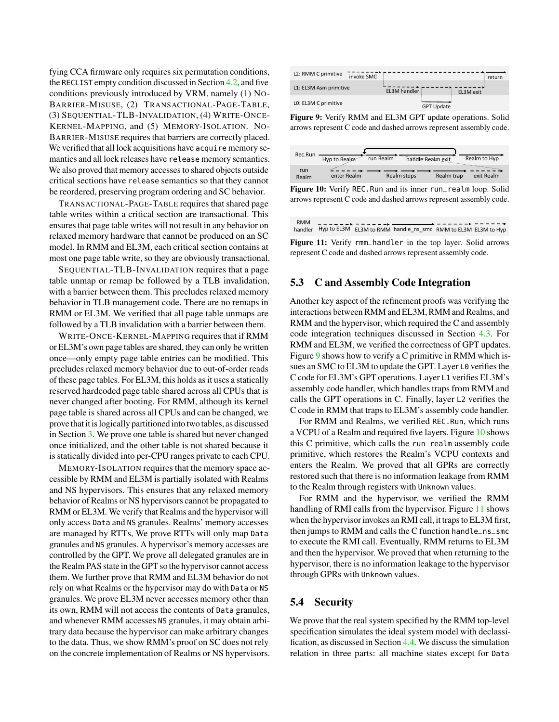fying CCA firmware only requires six permutation conditions, the RECLIST empty condition discussed in Section [4.2,](#page-5-2) and five conditions previously introduced by VRM, namely (1) NO-BARRIER-MISUSE, (2) TRANSACTIONAL-PAGE-TABLE, (3) SEQUENTIAL-TLB-INVALIDATION, (4) WRITE-ONCE-KERNEL-MAPPING, and (5) MEMORY-ISOLATION. NO-BARRIER-MISUSE requires that barriers are correctly placed. We verified that all lock acquisitions have acquire memory semantics and all lock releases have release memory semantics. We also proved that memory accesses to shared objects outside critical sections have release semantics so that they cannot be reordered, preserving program ordering and SC behavior.

TRANSACTIONAL-PAGE-TABLE requires that shared page table writes within a critical section are transactional. This ensures that page table writes will not result in any behavior on relaxed memory hardware that cannot be produced on an SC model. In RMM and EL3M, each critical section contains at most one page table write, so they are obviously transactional.

SEQUENTIAL-TLB-INVALIDATION requires that a page table unmap or remap be followed by a TLB invalidation, with a barrier between them. This precludes relaxed memory behavior in TLB management code. There are no remaps in RMM or EL3M. We verified that all page table unmaps are followed by a TLB invalidation with a barrier between them.

WRITE-ONCE-KERNEL-MAPPING requires that if RMM or EL3M's own page tables are shared, they can only be written once—only empty page table entries can be modified. This precludes relaxed memory behavior due to out-of-order reads of these page tables. For EL3M, this holds as it uses a statically reserved hardcoded page table shared across all CPUs that is never changed after booting. For RMM, although its kernel page table is shared across all CPUs and can be changed, we prove that it is logically partitioned into two tables, as discussed in Section [3.](#page-1-0) We prove one table is shared but never changed once initialized, and the other table is not shared because it is statically divided into per-CPU ranges private to each CPU.

MEMORY-ISOLATION requires that the memory space accessible by RMM and EL3M is partially isolated with Realms and NS hypervisors. This ensures that any relaxed memory behavior of Realms or NS hypervisors cannot be propagated to RMM or EL3M. We verify that Realms and the hypervisor will only access Data and NS granules. Realms' memory accesses are managed by RTTs, We prove RTTs will only map Data granules and NS granules. A hypervisor's memory accesses are controlled by the GPT. We prove all delegated granules are in the Realm PAS state in the GPT so the hypervisor cannot access them. We further prove that RMM and EL3M behavior do not rely on what Realms or the hypervisor may do with Data or NS granules. We prove EL3M never accesses memory other than its own, RMM will not access the contents of Data granules, and whenever RMM accesses NS granules, it may obtain arbitrary data because the hypervisor can make arbitrary changes to the data. Thus, we show RMM's proof on SC does not rely on the concrete implementation of Realms or NS hypervisors.

<span id="page-10-0"></span>

Figure 9: Verify RMM and EL3M GPT update operations. Solid arrows represent C code and dashed arrows represent assembly code.

<span id="page-10-1"></span>

| Rec.Run      | Hyp to Realm | run Realm | handle Realm exit |            | Realm to Hyp |
|--------------|--------------|-----------|-------------------|------------|--------------|
| run<br>Realm | enter Realm  |           | Realm steps       | Realm trap | exit Realm   |

Figure 10: Verify REC.Run and its inner run\_realm loop. Solid arrows represent C code and dashed arrows represent assembly code.

|  | handler Hyp to EL3M EL3M to RMM handle_ns_smc RMM to EL3M EL3M to Hyp |  |
|--|-----------------------------------------------------------------------|--|



### 5.3 C and Assembly Code Integration

<span id="page-10-2"></span>RMM

Another key aspect of the refinement proofs was verifying the interactions between RMM and EL3M, RMM and Realms, and RMM and the hypervisor, which required the C and assembly code integration techniques discussed in Section [4.3.](#page-6-1) For RMM and EL3M, we verified the correctness of GPT updates. Figure [9](#page-10-0) shows how to verify a C primitive in RMM which issues an SMC to EL3M to update the GPT. Layer L0 verifies the C code for EL3M's GPT operations. Layer L1 verifies EL3M's assembly code handler, which handles traps from RMM and calls the GPT operations in C. Finally, layer L2 verifies the C code in RMM that traps to EL3M's assembly code handler.

For RMM and Realms, we verified REC.Run, which runs a VCPU of a Realm and required five layers. Figure [10](#page-10-1) shows this C primitive, which calls the run\_realm assembly code primitive, which restores the Realm's VCPU contexts and enters the Realm. We proved that all GPRs are correctly restored such that there is no information leakage from RMM to the Realm through registers with Unknown values.

For RMM and the hypervisor, we verified the RMM handling of RMI calls from the hypervisor. Figure [11](#page-10-2) shows when the hypervisor invokes an RMI call, it traps to EL3M first, then jumps to RMM and calls the C function handle\_ns\_smc to execute the RMI call. Eventually, RMM returns to EL3M and then the hypervisor. We proved that when returning to the hypervisor, there is no information leakage to the hypervisor through GPRs with Unknown values.

## 5.4 Security

We prove that the real system specified by the RMM top-level specification simulates the ideal system model with declassification, as discussed in Section [4.4.](#page-7-2) We discuss the simulation relation in three parts: all machine states except for Data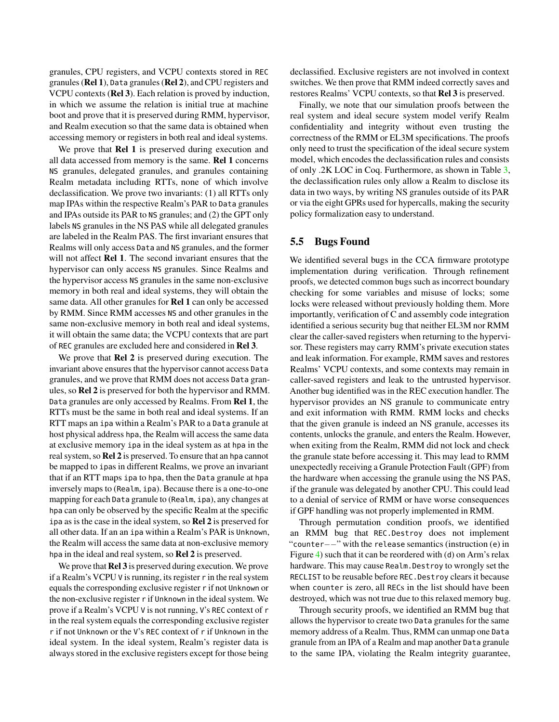granules, CPU registers, and VCPU contexts stored in REC granules (Rel 1), Data granules (Rel 2), and CPU registers and VCPU contexts (Rel 3). Each relation is proved by induction, in which we assume the relation is initial true at machine boot and prove that it is preserved during RMM, hypervisor, and Realm execution so that the same data is obtained when accessing memory or registers in both real and ideal systems.

We prove that Rel 1 is preserved during execution and all data accessed from memory is the same. Rel 1 concerns NS granules, delegated granules, and granules containing Realm metadata including RTTs, none of which involve declassification. We prove two invariants: (1) all RTTs only map IPAs within the respective Realm's PAR to Data granules and IPAs outside its PAR to NS granules; and (2) the GPT only labels NS granules in the NS PAS while all delegated granules are labeled in the Realm PAS. The first invariant ensures that Realms will only access Data and NS granules, and the former will not affect **Rel 1**. The second invariant ensures that the hypervisor can only access NS granules. Since Realms and the hypervisor access NS granules in the same non-exclusive memory in both real and ideal systems, they will obtain the same data. All other granules for Rel 1 can only be accessed by RMM. Since RMM accesses NS and other granules in the same non-exclusive memory in both real and ideal systems, it will obtain the same data; the VCPU contexts that are part of REC granules are excluded here and considered in Rel 3.

We prove that **Rel 2** is preserved during execution. The invariant above ensures that the hypervisor cannot access Data granules, and we prove that RMM does not access Data granules, so Rel 2 is preserved for both the hypervisor and RMM. Data granules are only accessed by Realms. From Rel 1, the RTTs must be the same in both real and ideal systems. If an RTT maps an ipa within a Realm's PAR to a Data granule at host physical address hpa, the Realm will access the same data at exclusive memory ipa in the ideal system as at hpa in the real system, so Rel 2 is preserved. To ensure that an hpa cannot be mapped to ipas in different Realms, we prove an invariant that if an RTT maps ipa to hpa, then the Data granule at hpa inversely maps to (Realm, ipa). Because there is a one-to-one mapping for each Data granule to (Realm, ipa), any changes at hpa can only be observed by the specific Realm at the specific ipa as is the case in the ideal system, so Rel 2 is preserved for all other data. If an an ipa within a Realm's PAR is Unknown, the Realm will access the same data at non-exclusive memory hpa in the ideal and real system, so Rel 2 is preserved.

We prove that **Rel 3** is preserved during execution. We prove if a Realm's VCPU V is running, its register r in the real system equals the corresponding exclusive register r if not Unknown or the non-exclusive register r if Unknown in the ideal system. We prove if a Realm's VCPU V is not running, V's REC context of r in the real system equals the corresponding exclusive register r if not Unknown or the V's REC context of r if Unknown in the ideal system. In the ideal system, Realm's register data is always stored in the exclusive registers except for those being

declassified. Exclusive registers are not involved in context switches. We then prove that RMM indeed correctly saves and restores Realms' VCPU contexts, so that Rel 3 is preserved.

Finally, we note that our simulation proofs between the real system and ideal secure system model verify Realm confidentiality and integrity without even trusting the correctness of the RMM or EL3M specifications. The proofs only need to trust the specification of the ideal secure system model, which encodes the declassification rules and consists of only .2K LOC in Coq. Furthermore, as shown in Table [3,](#page-8-1) the declassification rules only allow a Realm to disclose its data in two ways, by writing NS granules outside of its PAR or via the eight GPRs used for hypercalls, making the security policy formalization easy to understand.

### 5.5 Bugs Found

We identified several bugs in the CCA firmware prototype implementation during verification. Through refinement proofs, we detected common bugs such as incorrect boundary checking for some variables and misuse of locks; some locks were released without previously holding them. More importantly, verification of C and assembly code integration identified a serious security bug that neither EL3M nor RMM clear the caller-saved registers when returning to the hypervisor. These registers may carry RMM's private execution states and leak information. For example, RMM saves and restores Realms' VCPU contexts, and some contexts may remain in caller-saved registers and leak to the untrusted hypervisor. Another bug identified was in the REC execution handler. The hypervisor provides an NS granule to communicate entry and exit information with RMM. RMM locks and checks that the given granule is indeed an NS granule, accesses its contents, unlocks the granule, and enters the Realm. However, when exiting from the Realm, RMM did not lock and check the granule state before accessing it. This may lead to RMM unexpectedly receiving a Granule Protection Fault (GPF) from the hardware when accessing the granule using the NS PAS, if the granule was delegated by another CPU. This could lead to a denial of service of RMM or have worse consequences if GPF handling was not properly implemented in RMM.

Through permutation condition proofs, we identified an RMM bug that REC.Destroy does not implement "counter−−" with the release semantics (instruction (e) in Figure [4\)](#page-6-0) such that it can be reordered with (d) on Arm's relax hardware. This may cause Realm.Destroy to wrongly set the RECLIST to be reusable before REC.Destroy clears it because when counter is zero, all RECs in the list should have been destroyed, which was not true due to this relaxed memory bug.

Through security proofs, we identified an RMM bug that allows the hypervisor to create two Data granules for the same memory address of a Realm. Thus, RMM can unmap one Data granule from an IPA of a Realm and map another Data granule to the same IPA, violating the Realm integrity guarantee,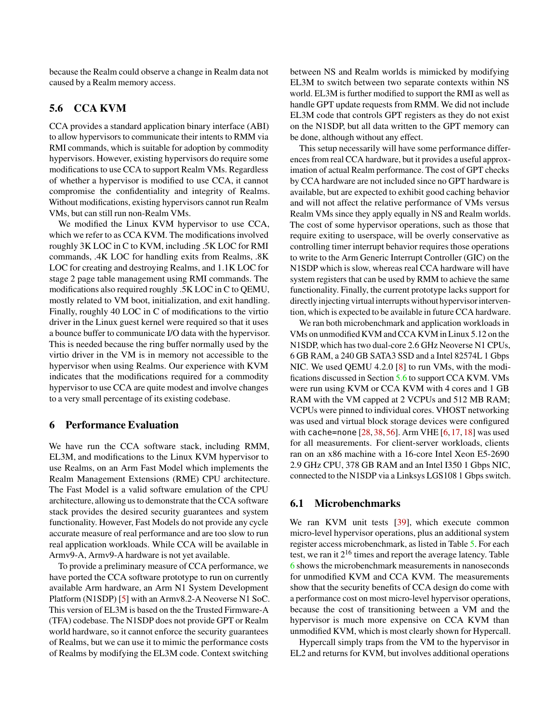because the Realm could observe a change in Realm data not caused by a Realm memory access.

# <span id="page-12-0"></span>5.6 CCA KVM

CCA provides a standard application binary interface (ABI) to allow hypervisors to communicate their intents to RMM via RMI commands, which is suitable for adoption by commodity hypervisors. However, existing hypervisors do require some modifications to use CCA to support Realm VMs. Regardless of whether a hypervisor is modified to use CCA, it cannot compromise the confidentiality and integrity of Realms. Without modifications, existing hypervisors cannot run Realm VMs, but can still run non-Realm VMs.

We modified the Linux KVM hypervisor to use CCA, which we refer to as CCA KVM. The modifications involved roughly 3K LOC in C to KVM, including .5K LOC for RMI commands, .4K LOC for handling exits from Realms, .8K LOC for creating and destroying Realms, and 1.1K LOC for stage 2 page table management using RMI commands. The modifications also required roughly .5K LOC in C to QEMU, mostly related to VM boot, initialization, and exit handling. Finally, roughly 40 LOC in C of modifications to the virtio driver in the Linux guest kernel were required so that it uses a bounce buffer to communicate I/O data with the hypervisor. This is needed because the ring buffer normally used by the virtio driver in the VM is in memory not accessible to the hypervisor when using Realms. Our experience with KVM indicates that the modifications required for a commodity hypervisor to use CCA are quite modest and involve changes to a very small percentage of its existing codebase.

### 6 Performance Evaluation

We have run the CCA software stack, including RMM, EL3M, and modifications to the Linux KVM hypervisor to use Realms, on an Arm Fast Model which implements the Realm Management Extensions (RME) CPU architecture. The Fast Model is a valid software emulation of the CPU architecture, allowing us to demonstrate that the CCA software stack provides the desired security guarantees and system functionality. However, Fast Models do not provide any cycle accurate measure of real performance and are too slow to run real application workloads. While CCA will be available in Armv9-A, Armv9-A hardware is not yet available.

To provide a preliminary measure of CCA performance, we have ported the CCA software prototype to run on currently available Arm hardware, an Arm N1 System Development Platform (N1SDP) [\[5\]](#page-16-9) with an Armv8.2-A Neoverse N1 SoC. This version of EL3M is based on the the Trusted Firmware-A (TFA) codebase. The N1SDP does not provide GPT or Realm world hardware, so it cannot enforce the security guarantees of Realms, but we can use it to mimic the performance costs of Realms by modifying the EL3M code. Context switching

between NS and Realm worlds is mimicked by modifying EL3M to switch between two separate contexts within NS world. EL3M is further modified to support the RMI as well as handle GPT update requests from RMM. We did not include EL3M code that controls GPT registers as they do not exist on the N1SDP, but all data written to the GPT memory can be done, although without any effect.

This setup necessarily will have some performance differences from real CCA hardware, but it provides a useful approximation of actual Realm performance. The cost of GPT checks by CCA hardware are not included since no GPT hardware is available, but are expected to exhibit good caching behavior and will not affect the relative performance of VMs versus Realm VMs since they apply equally in NS and Realm worlds. The cost of some hypervisor operations, such as those that require exiting to userspace, will be overly conservative as controlling timer interrupt behavior requires those operations to write to the Arm Generic Interrupt Controller (GIC) on the N1SDP which is slow, whereas real CCA hardware will have system registers that can be used by RMM to achieve the same functionality. Finally, the current prototype lacks support for directly injecting virtual interrupts without hypervisor intervention, which is expected to be available in future CCA hardware.

We ran both microbenchmark and application workloads in VMs on unmodified KVM and CCA KVM in Linux 5.12 on the N1SDP, which has two dual-core 2.6 GHz Neoverse N1 CPUs, 6 GB RAM, a 240 GB SATA3 SSD and a Intel 82574L 1 Gbps NIC. We used QEMU 4.2.0 [\[8\]](#page-16-10) to run VMs, with the modifications discussed in Section [5.6](#page-12-0) to support CCA KVM. VMs were run using KVM or CCA KVM with 4 cores and 1 GB RAM with the VM capped at 2 VCPUs and 512 MB RAM; VCPUs were pinned to individual cores. VHOST networking was used and virtual block storage devices were configured with cache=none [\[28,](#page-17-12) [38,](#page-18-9) [56\]](#page-18-10). Arm VHE [\[6,](#page-16-11) [17,](#page-16-12) [18\]](#page-16-13) was used for all measurements. For client-server workloads, clients ran on an x86 machine with a 16-core Intel Xeon E5-2690 2.9 GHz CPU, 378 GB RAM and an Intel I350 1 Gbps NIC, connected to the N1SDP via a Linksys LGS108 1 Gbps switch.

### 6.1 Microbenchmarks

We ran KVM unit tests [\[39\]](#page-18-11), which execute common micro-level hypervisor operations, plus an additional system register access microbenchmark, as listed in Table [5.](#page-13-0) For each test, we ran it  $2^{16}$  times and report the average latency. Table [6](#page-13-1) shows the microbenchmark measurements in nanoseconds for unmodified KVM and CCA KVM. The measurements show that the security benefits of CCA design do come with a performance cost on most micro-level hypervisor operations, because the cost of transitioning between a VM and the hypervisor is much more expensive on CCA KVM than unmodified KVM, which is most clearly shown for Hypercall.

Hypercall simply traps from the VM to the hypervisor in EL2 and returns for KVM, but involves additional operations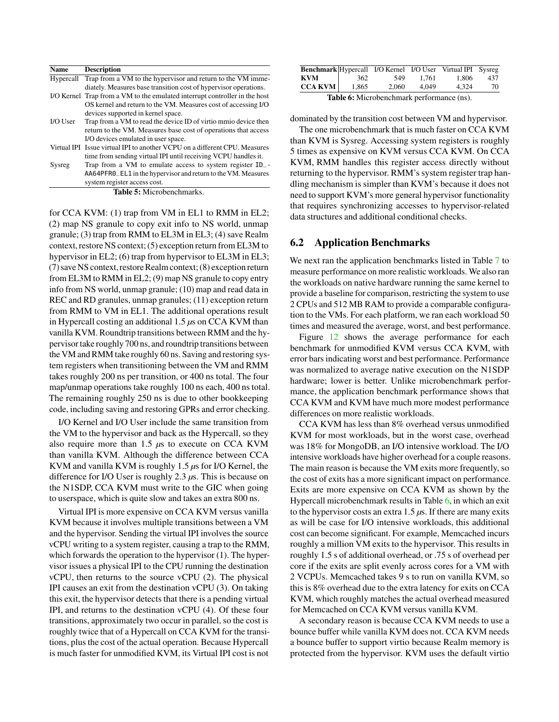<span id="page-13-0"></span>

| Name      | <b>Description</b>                                                         |
|-----------|----------------------------------------------------------------------------|
| Hypercall | Trap from a VM to the hypervisor and return to the VM imme-                |
|           | diately. Measures base transition cost of hypervisor operations.           |
|           | I/O Kernel Trap from a VM to the emulated interrupt controller in the host |
|           | OS kernel and return to the VM. Measures cost of accessing I/O             |
|           | devices supported in kernel space.                                         |
| I/O User  | Trap from a VM to read the device ID of virtio mmio device then            |
|           | return to the VM. Measures base cost of operations that access             |
|           | I/O devices emulated in user space.                                        |
|           | Virtual IPI Issue virtual IPI to another VCPU on a different CPU. Measures |
|           | time from sending virtual IPI until receiving VCPU handles it.             |
| Sysreg    | Trap from a VM to emulate access to system register ID_-                   |
|           | AA64PFR0_EL1 in the hypervisor and return to the VM. Measures              |

Table 5: Microbenchmarks.

system register access cost.

for CCA KVM: (1) trap from VM in EL1 to RMM in EL2; (2) map NS granule to copy exit info to NS world, unmap granule; (3) trap from RMM to EL3M in EL3; (4) save Realm context, restore NS context;(5) exception return from EL3M to hypervisor in EL2; (6) trap from hypervisor to EL3M in EL3; (7)save NS context, restore Realm context;(8) exception return from EL3M to RMM in EL2; (9) map NS granule to copy entry info from NS world, unmap granule; (10) map and read data in REC and RD granules, unmap granules; (11) exception return from RMM to VM in EL1. The additional operations result in Hypercall costing an additional 1.5 *µ*s on CCA KVM than vanilla KVM. Roundtrip transitions between RMM and the hypervisor take roughly 700 ns, and roundtrip transitions between the VM and RMM take roughly 60 ns. Saving and restoring system registers when transitioning between the VM and RMM takes roughly 200 ns per transition, or 400 ns total. The four map/unmap operations take roughly 100 ns each, 400 ns total. The remaining roughly 250 ns is due to other bookkeeping code, including saving and restoring GPRs and error checking.

I/O Kernel and I/O User include the same transition from the VM to the hypervisor and back as the Hypercall, so they also require more than 1.5 *µ*s to execute on CCA KVM than vanilla KVM. Although the difference between CCA KVM and vanilla KVM is roughly 1.5 *µ*s for I/O Kernel, the difference for I/O User is roughly 2.3 *µ*s. This is because on the N1SDP, CCA KVM must write to the GIC when going to userspace, which is quite slow and takes an extra 800 ns.

Virtual IPI is more expensive on CCA KVM versus vanilla KVM because it involves multiple transitions between a VM and the hypervisor. Sending the virtual IPI involves the source vCPU writing to a system register, causing a trap to the RMM, which forwards the operation to the hypervisor (1). The hypervisor issues a physical IPI to the CPU running the destination vCPU, then returns to the source vCPU (2). The physical IPI causes an exit from the destination vCPU (3). On taking this exit, the hypervisor detects that there is a pending virtual IPI, and returns to the destination vCPU (4). Of these four transitions, approximately two occur in parallel, so the cost is roughly twice that of a Hypercall on CCA KVM for the transitions, plus the cost of the actual operation. Because Hypercall is much faster for unmodified KVM, its Virtual IPI cost is not

<span id="page-13-1"></span>

| Benchmark Hypercall I/O Kernel I/O User Virtual IPI Sysreg |       |       |       |       |     |
|------------------------------------------------------------|-------|-------|-------|-------|-----|
| KVM                                                        | 362   | 549   | 1.761 | 1.806 | 437 |
| $CCA$ KVM                                                  | 1.865 | 2.060 | 4.049 | 4.324 | 70  |
|                                                            | .     |       |       |       |     |

Table 6: Microbenchmark performance (ns).

dominated by the transition cost between VM and hypervisor.

The one microbenchmark that is much faster on CCA KVM than KVM is Sysreg. Accessing system registers is roughly 5 times as expensive on KVM versus CCA KVM. On CCA KVM, RMM handles this register access directly without returning to the hypervisor. RMM's system register trap handling mechanism is simpler than KVM's because it does not need to support KVM's more general hypervisor functionality that requires synchronizing accesses to hypervisor-related data structures and additional conditional checks.

### 6.2 Application Benchmarks

We next ran the application benchmarks listed in Table [7](#page-14-0) to measure performance on more realistic workloads. We also ran the workloads on native hardware running the same kernel to provide a baseline for comparison, restricting the system to use 2 CPUs and 512 MB RAM to provide a comparable configuration to the VMs. For each platform, we ran each workload 50 times and measured the average, worst, and best performance.

Figure [12](#page-14-1) shows the average performance for each benchmark for unmodified KVM versus CCA KVM, with error bars indicating worst and best performance. Performance was normalized to average native execution on the N1SDP hardware; lower is better. Unlike microbenchmark performance, the application benchmark performance shows that CCA KVM and KVM have much more modest performance differences on more realistic workloads.

CCA KVM has less than 8% overhead versus unmodified KVM for most workloads, but in the worst case, overhead was 18% for MongoDB, an I/O intensive workload. The I/O intensive workloads have higher overhead for a couple reasons. The main reason is because the VM exits more frequently, so the cost of exits has a more significant impact on performance. Exits are more expensive on CCA KVM as shown by the Hypercall microbenchmark results in Table  $6$ , in which an exit to the hypervisor costs an extra 1.5 *µ*s. If there are many exits as will be case for I/O intensive workloads, this additional cost can become significant. For example, Memcached incurs roughly a million VM exits to the hypervisor. This results in roughly 1.5 s of additional overhead, or .75 s of overhead per core if the exits are split evenly across cores for a VM with 2 VCPUs. Memcached takes 9 s to run on vanilla KVM, so this is 8% overhead due to the extra latency for exits on CCA KVM, which roughly matches the actual overhead measured for Memcached on CCA KVM versus vanilla KVM.

A secondary reason is because CCA KVM needs to use a bounce buffer while vanilla KVM does not. CCA KVM needs a bounce buffer to support virtio because Realm memory is protected from the hypervisor. KVM uses the default virtio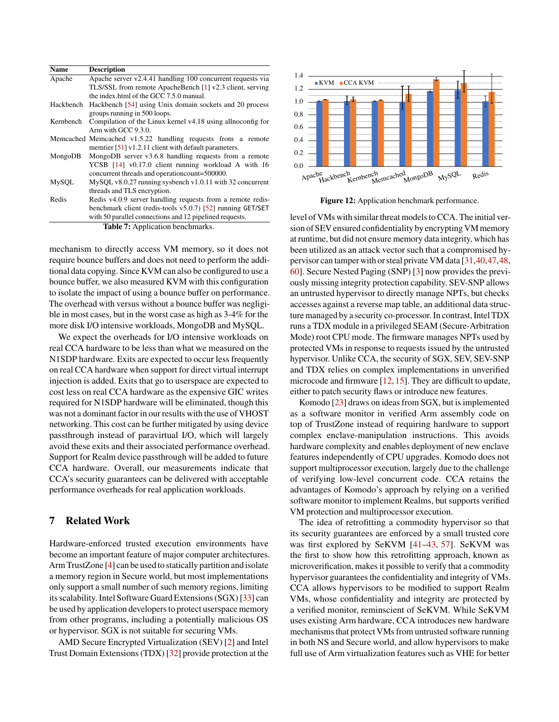<span id="page-14-0"></span>

| <b>Name</b> | <b>Description</b>                                            |  |  |  |  |
|-------------|---------------------------------------------------------------|--|--|--|--|
| Apache      | Apache server v2.4.41 handling 100 concurrent requests via    |  |  |  |  |
|             | TLS/SSL from remote ApacheBench [1] v2.3 client, serving      |  |  |  |  |
|             | the index html of the GCC 7.5.0 manual.                       |  |  |  |  |
| Hackbench   | Hackbench [54] using Unix domain sockets and 20 process       |  |  |  |  |
|             | groups running in 500 loops.                                  |  |  |  |  |
| Kernbench   | Compilation of the Linux kernel v4.18 using all noconfig for  |  |  |  |  |
|             | Arm with $GCC$ 9.3.0.                                         |  |  |  |  |
|             | Memcached Memcached v1.5.22 handling requests from a remote   |  |  |  |  |
|             | member $[51]$ v1.2.11 client with default parameters.         |  |  |  |  |
| MongoDB     | MongoDB server v3.6.8 handling requests from a remote         |  |  |  |  |
|             | YCSB [14] v0.17.0 client running workload A with 16           |  |  |  |  |
|             | concurrent threads and operation count=500000.                |  |  |  |  |
| MySQL       | $MySQL v8.0.27$ running sysbench v1.0.11 with 32 concurrent   |  |  |  |  |
|             | threads and TLS encryption.                                   |  |  |  |  |
| Redis       | Redis v4.0.9 server handling requests from a remote redis-    |  |  |  |  |
|             | benchmark client (redis-tools $v5.0.7$ ) [52] running GET/SET |  |  |  |  |
|             | with 50 parallel connections and 12 pipelined requests.       |  |  |  |  |
|             | <b>Table 7:</b> Application benchmarks.                       |  |  |  |  |

mechanism to directly access VM memory, so it does not require bounce buffers and does not need to perform the additional data copying. Since KVM can also be configured to use a bounce buffer, we also measured KVM with this configuration to isolate the impact of using a bounce buffer on performance. The overhead with versus without a bounce buffer was negligible in most cases, but in the worst case as high as 3-4% for the more disk I/O intensive workloads, MongoDB and MySQL.

We expect the overheads for I/O intensive workloads on real CCA hardware to be less than what we measured on the N1SDP hardware. Exits are expected to occur less frequently on real CCA hardware when support for direct virtual interrupt injection is added. Exits that go to userspace are expected to cost less on real CCA hardware as the expensive GIC writes required for N1SDP hardware will be eliminated, though this was not a dominant factor in our results with the use of VHOST networking. This cost can be further mitigated by using device passthrough instead of paravirtual I/O, which will largely avoid these exits and their associated performance overhead. Support for Realm device passthrough will be added to future CCA hardware. Overall, our measurements indicate that CCA's security guarantees can be delivered with acceptable performance overheads for real application workloads.

# 7 Related Work

Hardware-enforced trusted execution environments have become an important feature of major computer architectures. Arm TrustZone [\[4\]](#page-16-6) can be used to statically partition and isolate a memory region in Secure world, but most implementations only support a small number of such memory regions, limiting its scalability. Intel Software Guard Extensions (SGX) [\[33\]](#page-17-13) can be used by application developers to protect userspace memory from other programs, including a potentially malicious OS or hypervisor. SGX is not suitable for securing VMs.

AMD Secure Encrypted Virtualization (SEV) [\[2\]](#page-16-16) and Intel Trust Domain Extensions (TDX) [\[32\]](#page-17-14) provide protection at the

<span id="page-14-1"></span>

Figure 12: Application benchmark performance.

level of VMs with similar threat models to CCA. The initial version of SEV ensured confidentiality by encrypting VM memory at runtime, but did not ensure memory data integrity, which has been utilized as an attack vector such that a compromised hypervisor can tamper with or steal private VM data [\[31,](#page-17-15)[40](#page-18-15)[,47,](#page-18-16)[48,](#page-18-17) [60\]](#page-19-3). Secure Nested Paging (SNP) [\[3\]](#page-16-5) now provides the previously missing integrity protection capability. SEV-SNP allows an untrusted hypervisor to directly manage NPTs, but checks accesses against a reverse map table, an additional data structure managed by a security co-processor. In contrast, Intel TDX runs a TDX module in a privileged SEAM (Secure-Arbitration Mode) root CPU mode. The firmware manages NPTs used by protected VMs in response to requests issued by the untrusted hypervisor. Unlike CCA, the security of SGX, SEV, SEV-SNP and TDX relies on complex implementations in unverified microcode and firmware [\[12,](#page-16-17) [15\]](#page-16-18). They are difficult to update, either to patch security flaws or introduce new features.

Komodo [\[23\]](#page-17-6) draws on ideas from SGX, but is implemented as a software monitor in verified Arm assembly code on top of TrustZone instead of requiring hardware to support complex enclave-manipulation instructions. This avoids hardware complexity and enables deployment of new enclave features independently of CPU upgrades. Komodo does not support multiprocessor execution, largely due to the challenge of verifying low-level concurrent code. CCA retains the advantages of Komodo's approach by relying on a verified software monitor to implement Realms, but supports verified VM protection and multiprocessor execution.

The idea of retrofitting a commodity hypervisor so that its security guarantees are enforced by a small trusted core was first explored by SeKVM [\[41–](#page-18-18)[43,](#page-18-1) [57\]](#page-18-4). SeKVM was the first to show how this retrofitting approach, known as microverification, makes it possible to verify that a commodity hypervisor guarantees the confidentiality and integrity of VMs. CCA allows hypervisors to be modified to support Realm VMs, whose confidentiality and integrity are protected by a verified monitor, reminscient of SeKVM. While SeKVM uses existing Arm hardware, CCA introduces new hardware mechanisms that protect VMs from untrusted software running in both NS and Secure world, and allow hypervisors to make full use of Arm virtualization features such as VHE for better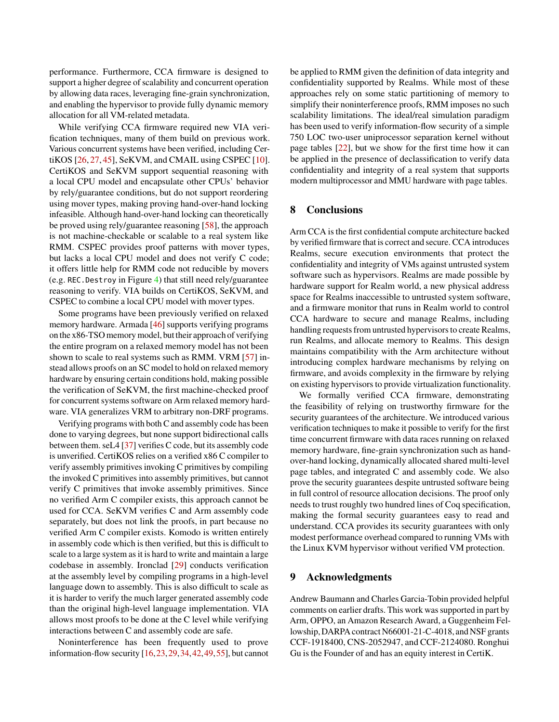performance. Furthermore, CCA firmware is designed to support a higher degree of scalability and concurrent operation by allowing data races, leveraging fine-grain synchronization, and enabling the hypervisor to provide fully dynamic memory allocation for all VM-related metadata.

While verifying CCA firmware required new VIA verification techniques, many of them build on previous work. Various concurrent systems have been verified, including CertiKOS [\[26,](#page-17-0) [27,](#page-17-3) [45\]](#page-18-19), SeKVM, and CMAIL using CSPEC [\[10\]](#page-16-0). CertiKOS and SeKVM support sequential reasoning with a local CPU model and encapsulate other CPUs' behavior by rely/guarantee conditions, but do not support reordering using mover types, making proving hand-over-hand locking infeasible. Although hand-over-hand locking can theoretically be proved using rely/guarantee reasoning [\[58\]](#page-19-4), the approach is not machine-checkable or scalable to a real system like RMM. CSPEC provides proof patterns with mover types, but lacks a local CPU model and does not verify C code; it offers little help for RMM code not reducible by movers (e.g. REC.Destroy in Figure [4\)](#page-6-0) that still need rely/guarantee reasoning to verify. VIA builds on CertiKOS, SeKVM, and CSPEC to combine a local CPU model with mover types.

Some programs have been previously verified on relaxed memory hardware. Armada [\[46\]](#page-18-5) supports verifying programs on the x86-TSO memory model, but their approach of verifying the entire program on a relaxed memory model has not been shown to scale to real systems such as RMM. VRM [\[57\]](#page-18-4) instead allows proofs on an SC model to hold on relaxed memory hardware by ensuring certain conditions hold, making possible the verification of SeKVM, the first machine-checked proof for concurrent systems software on Arm relaxed memory hardware. VIA generalizes VRM to arbitrary non-DRF programs.

Verifying programs with both C and assembly code has been done to varying degrees, but none support bidirectional calls between them. seL4 [\[37\]](#page-17-7) verifies C code, but its assembly code is unverified. CertiKOS relies on a verified x86 C compiler to verify assembly primitives invoking C primitives by compiling the invoked C primitives into assembly primitives, but cannot verify C primitives that invoke assembly primitives. Since no verified Arm C compiler exists, this approach cannot be used for CCA. SeKVM verifies C and Arm assembly code separately, but does not link the proofs, in part because no verified Arm C compiler exists. Komodo is written entirely in assembly code which is then verified, but this is difficult to scale to a large system as it is hard to write and maintain a large codebase in assembly. Ironclad [\[29\]](#page-17-8) conducts verification at the assembly level by compiling programs in a high-level language down to assembly. This is also difficult to scale as it is harder to verify the much larger generated assembly code than the original high-level language implementation. VIA allows most proofs to be done at the C level while verifying interactions between C and assembly code are safe.

Noninterference has been frequently used to prove information-flow security [\[16,](#page-16-8)[23,](#page-17-6)[29,](#page-17-8)[34,](#page-17-9)[42,](#page-18-0)[49,](#page-18-7)[55\]](#page-18-8), but cannot be applied to RMM given the definition of data integrity and confidentiality supported by Realms. While most of these approaches rely on some static partitioning of memory to simplify their noninterference proofs, RMM imposes no such scalability limitations. The ideal/real simulation paradigm has been used to verify information-flow security of a simple 750 LOC two-user uniprocessor separation kernel without page tables [\[22\]](#page-17-10), but we show for the first time how it can be applied in the presence of declassification to verify data confidentiality and integrity of a real system that supports modern multiprocessor and MMU hardware with page tables.

# 8 Conclusions

Arm CCA is the first confidential compute architecture backed by verified firmware that is correct and secure. CCA introduces Realms, secure execution environments that protect the confidentiality and integrity of VMs against untrusted system software such as hypervisors. Realms are made possible by hardware support for Realm world, a new physical address space for Realms inaccessible to untrusted system software, and a firmware monitor that runs in Realm world to control CCA hardware to secure and manage Realms, including handling requests from untrusted hypervisors to create Realms, run Realms, and allocate memory to Realms. This design maintains compatibility with the Arm architecture without introducing complex hardware mechanisms by relying on firmware, and avoids complexity in the firmware by relying on existing hypervisors to provide virtualization functionality.

We formally verified CCA firmware, demonstrating the feasibility of relying on trustworthy firmware for the security guarantees of the architecture. We introduced various verification techniques to make it possible to verify for the first time concurrent firmware with data races running on relaxed memory hardware, fine-grain synchronization such as handover-hand locking, dynamically allocated shared multi-level page tables, and integrated C and assembly code. We also prove the security guarantees despite untrusted software being in full control of resource allocation decisions. The proof only needs to trust roughly two hundred lines of Coq specification, making the formal security guarantees easy to read and understand. CCA provides its security guarantees with only modest performance overhead compared to running VMs with the Linux KVM hypervisor without verified VM protection.

### 9 Acknowledgments

Andrew Baumann and Charles Garcia-Tobin provided helpful comments on earlier drafts. This work was supported in part by Arm, OPPO, an Amazon Research Award, a Guggenheim Fellowship, DARPA contract N66001-21-C-4018, and NSF grants CCF-1918400, CNS-2052947, and CCF-2124080. Ronghui Gu is the Founder of and has an equity interest in CertiK.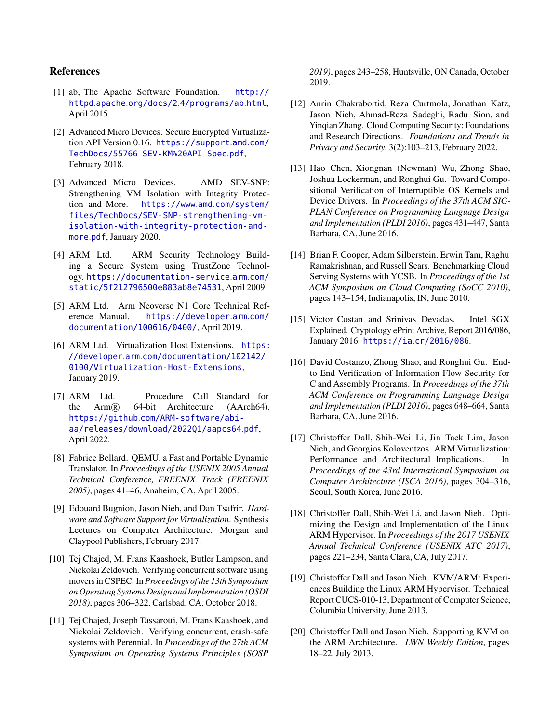# References

- <span id="page-16-14"></span>[1] ab, The Apache Software Foundation. [http://](http://httpd.apache.org/docs/2.4/programs/ab.html) httpd.apache.org/docs/2.[4/programs/ab](http://httpd.apache.org/docs/2.4/programs/ab.html).html, April 2015.
- <span id="page-16-16"></span>[2] Advanced Micro Devices. Secure Encrypted Virtualization API Version 0.16. [https://support](https://support.amd.com/TechDocs/55766_SEV-KM%20API_Spec.pdf).amd.com/ [TechDocs/55766\\_SEV-KM%20API\\_Spec](https://support.amd.com/TechDocs/55766_SEV-KM%20API_Spec.pdf).pdf, February 2018.
- <span id="page-16-5"></span>[3] Advanced Micro Devices. AMD SEV-SNP: Strengthening VM Isolation with Integrity Protection and More. [https://www](https://www.amd.com/system/files/TechDocs/SEV-SNP-strengthening-vm-isolation-with-integrity-protection-and-more.pdf).amd.com/system/ [files/TechDocs/SEV-SNP-strengthening-vm](https://www.amd.com/system/files/TechDocs/SEV-SNP-strengthening-vm-isolation-with-integrity-protection-and-more.pdf)[isolation-with-integrity-protection-and](https://www.amd.com/system/files/TechDocs/SEV-SNP-strengthening-vm-isolation-with-integrity-protection-and-more.pdf)[more](https://www.amd.com/system/files/TechDocs/SEV-SNP-strengthening-vm-isolation-with-integrity-protection-and-more.pdf).pdf, January 2020.
- <span id="page-16-6"></span>[4] ARM Ltd. ARM Security Technology Building a Secure System using TrustZone Technology. [https://documentation-service](https://documentation-service.arm.com/static/5f212796500e883ab8e74531).arm.com/ [static/5f212796500e883ab8e74531](https://documentation-service.arm.com/static/5f212796500e883ab8e74531), April 2009.
- <span id="page-16-9"></span>[5] ARM Ltd. Arm Neoverse N1 Core Technical Reference Manual. [https://developer](https://developer.arm.com/documentation/100616/0400/).arm.com/ [documentation/100616/0400/](https://developer.arm.com/documentation/100616/0400/), April 2019.
- <span id="page-16-11"></span>[6] ARM Ltd. Virtualization Host Extensions. [https:](https://developer.arm.com/documentation/102142/0100/Virtualization-Host-Extensions) //developer.arm.[com/documentation/102142/](https://developer.arm.com/documentation/102142/0100/Virtualization-Host-Extensions) [0100/Virtualization-Host-Extensions](https://developer.arm.com/documentation/102142/0100/Virtualization-Host-Extensions), January 2019.
- <span id="page-16-7"></span>[7] ARM Ltd. Procedure Call Standard for the Arm R 64-bit Architecture (AArch64). https://github.[com/ARM-software/abi](https://github.com/ARM-software/abi-aa/releases/download/2022Q1/aapcs64.pdf)[aa/releases/download/2022Q1/aapcs64](https://github.com/ARM-software/abi-aa/releases/download/2022Q1/aapcs64.pdf).pdf, April 2022.
- <span id="page-16-10"></span>[8] Fabrice Bellard. QEMU, a Fast and Portable Dynamic Translator. In *Proceedings of the USENIX 2005 Annual Technical Conference, FREENIX Track (FREENIX 2005)*, pages 41–46, Anaheim, CA, April 2005.
- <span id="page-16-4"></span>[9] Edouard Bugnion, Jason Nieh, and Dan Tsafrir. *Hardware and Software Support for Virtualization*. Synthesis Lectures on Computer Architecture. Morgan and Claypool Publishers, February 2017.
- <span id="page-16-0"></span>[10] Tej Chajed, M. Frans Kaashoek, Butler Lampson, and Nickolai Zeldovich. Verifying concurrent software using movers in CSPEC. In *Proceedings of the 13th Symposium on Operating Systems Design and Implementation (OSDI 2018)*, pages 306–322, Carlsbad, CA, October 2018.
- <span id="page-16-1"></span>[11] Tej Chajed, Joseph Tassarotti, M. Frans Kaashoek, and Nickolai Zeldovich. Verifying concurrent, crash-safe systems with Perennial. In *Proceedings of the 27th ACM Symposium on Operating Systems Principles (SOSP*

*2019)*, pages 243–258, Huntsville, ON Canada, October 2019.

- <span id="page-16-17"></span>[12] Anrin Chakrabortid, Reza Curtmola, Jonathan Katz, Jason Nieh, Ahmad-Reza Sadeghi, Radu Sion, and Yinqian Zhang. Cloud Computing Security: Foundations and Research Directions. *Foundations and Trends in Privacy and Security*, 3(2):103–213, February 2022.
- <span id="page-16-2"></span>[13] Hao Chen, Xiongnan (Newman) Wu, Zhong Shao, Joshua Lockerman, and Ronghui Gu. Toward Compositional Verification of Interruptible OS Kernels and Device Drivers. In *Proceedings of the 37th ACM SIG-PLAN Conference on Programming Language Design and Implementation (PLDI 2016)*, pages 431–447, Santa Barbara, CA, June 2016.
- <span id="page-16-15"></span>[14] Brian F. Cooper, Adam Silberstein, Erwin Tam, Raghu Ramakrishnan, and Russell Sears. Benchmarking Cloud Serving Systems with YCSB. In *Proceedings of the 1st ACM Symposium on Cloud Computing (SoCC 2010)*, pages 143–154, Indianapolis, IN, June 2010.
- <span id="page-16-18"></span>[15] Victor Costan and Srinivas Devadas. Intel SGX Explained. Cryptology ePrint Archive, Report 2016/086, January 2016. https://ia.[cr/2016/086](https://ia.cr/2016/086).
- <span id="page-16-8"></span>[16] David Costanzo, Zhong Shao, and Ronghui Gu. Endto-End Verification of Information-Flow Security for C and Assembly Programs. In *Proceedings of the 37th ACM Conference on Programming Language Design and Implementation (PLDI 2016)*, pages 648–664, Santa Barbara, CA, June 2016.
- <span id="page-16-12"></span>[17] Christoffer Dall, Shih-Wei Li, Jin Tack Lim, Jason Nieh, and Georgios Koloventzos. ARM Virtualization: Performance and Architectural Implications. In *Proceedings of the 43rd International Symposium on Computer Architecture (ISCA 2016)*, pages 304–316, Seoul, South Korea, June 2016.
- <span id="page-16-13"></span>[18] Christoffer Dall, Shih-Wei Li, and Jason Nieh. Optimizing the Design and Implementation of the Linux ARM Hypervisor. In *Proceedings of the 2017 USENIX Annual Technical Conference (USENIX ATC 2017)*, pages 221–234, Santa Clara, CA, July 2017.
- <span id="page-16-3"></span>[19] Christoffer Dall and Jason Nieh. KVM/ARM: Experiences Building the Linux ARM Hypervisor. Technical Report CUCS-010-13, Department of Computer Science, Columbia University, June 2013.
- [20] Christoffer Dall and Jason Nieh. Supporting KVM on the ARM Architecture. *LWN Weekly Edition*, pages 18–22, July 2013.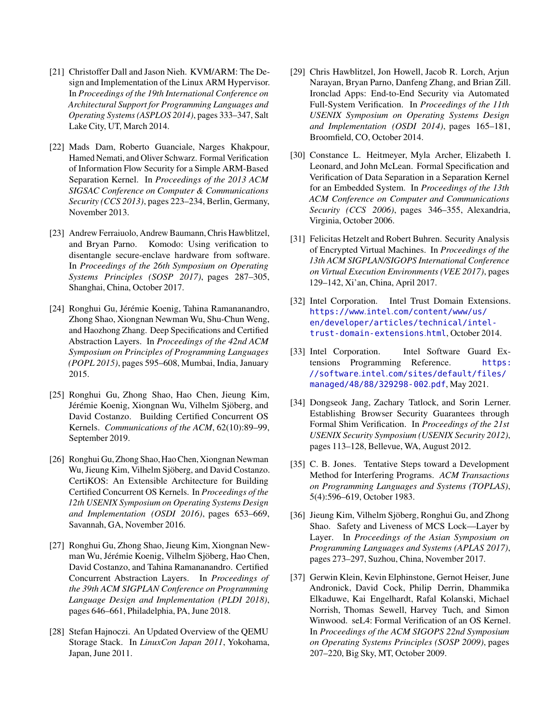- <span id="page-17-1"></span>[21] Christoffer Dall and Jason Nieh. KVM/ARM: The Design and Implementation of the Linux ARM Hypervisor. In *Proceedings of the 19th International Conference on Architectural Support for Programming Languages and Operating Systems (ASPLOS 2014)*, pages 333–347, Salt Lake City, UT, March 2014.
- <span id="page-17-10"></span>[22] Mads Dam, Roberto Guanciale, Narges Khakpour, Hamed Nemati, and Oliver Schwarz. Formal Verification of Information Flow Security for a Simple ARM-Based Separation Kernel. In *Proceedings of the 2013 ACM SIGSAC Conference on Computer & Communications Security (CCS 2013)*, pages 223–234, Berlin, Germany, November 2013.
- <span id="page-17-6"></span>[23] Andrew Ferraiuolo, Andrew Baumann, Chris Hawblitzel, and Bryan Parno. Komodo: Using verification to disentangle secure-enclave hardware from software. In *Proceedings of the 26th Symposium on Operating Systems Principles (SOSP 2017)*, pages 287–305, Shanghai, China, October 2017.
- <span id="page-17-2"></span>[24] Ronghui Gu, Jérémie Koenig, Tahina Ramananandro, Zhong Shao, Xiongnan Newman Wu, Shu-Chun Weng, and Haozhong Zhang. Deep Specifications and Certified Abstraction Layers. In *Proceedings of the 42nd ACM Symposium on Principles of Programming Languages (POPL 2015)*, pages 595–608, Mumbai, India, January 2015.
- [25] Ronghui Gu, Zhong Shao, Hao Chen, Jieung Kim, Jérémie Koenig, Xiongnan Wu, Vilhelm Sjöberg, and David Costanzo. Building Certified Concurrent OS Kernels. *Communications of the ACM*, 62(10):89–99, September 2019.
- <span id="page-17-0"></span>[26] Ronghui Gu, Zhong Shao, Hao Chen, Xiongnan Newman Wu, Jieung Kim, Vilhelm Sjöberg, and David Costanzo. CertiKOS: An Extensible Architecture for Building Certified Concurrent OS Kernels. In *Proceedings of the 12th USENIX Symposium on Operating Systems Design and Implementation (OSDI 2016)*, pages 653–669, Savannah, GA, November 2016.
- <span id="page-17-3"></span>[27] Ronghui Gu, Zhong Shao, Jieung Kim, Xiongnan Newman Wu, Jérémie Koenig, Vilhelm Sjöberg, Hao Chen, David Costanzo, and Tahina Ramananandro. Certified Concurrent Abstraction Layers. In *Proceedings of the 39th ACM SIGPLAN Conference on Programming Language Design and Implementation (PLDI 2018)*, pages 646–661, Philadelphia, PA, June 2018.
- <span id="page-17-12"></span>[28] Stefan Hajnoczi. An Updated Overview of the QEMU Storage Stack. In *LinuxCon Japan 2011*, Yokohama, Japan, June 2011.
- <span id="page-17-8"></span>[29] Chris Hawblitzel, Jon Howell, Jacob R. Lorch, Arjun Narayan, Bryan Parno, Danfeng Zhang, and Brian Zill. Ironclad Apps: End-to-End Security via Automated Full-System Verification. In *Proceedings of the 11th USENIX Symposium on Operating Systems Design and Implementation (OSDI 2014)*, pages 165–181, Broomfield, CO, October 2014.
- <span id="page-17-11"></span>[30] Constance L. Heitmeyer, Myla Archer, Elizabeth I. Leonard, and John McLean. Formal Specification and Verification of Data Separation in a Separation Kernel for an Embedded System. In *Proceedings of the 13th ACM Conference on Computer and Communications Security (CCS 2006)*, pages 346–355, Alexandria, Virginia, October 2006.
- <span id="page-17-15"></span>[31] Felicitas Hetzelt and Robert Buhren. Security Analysis of Encrypted Virtual Machines. In *Proceedings of the 13th ACM SIGPLAN/SIGOPS International Conference on Virtual Execution Environments (VEE 2017)*, pages 129–142, Xi'an, China, April 2017.
- <span id="page-17-14"></span>[32] Intel Corporation. Intel Trust Domain Extensions. https://www.intel.[com/content/www/us/](https://www.intel.com/content/www/us/en/developer/articles/technical/intel-trust-domain-extensions.html) [en/developer/articles/technical/intel](https://www.intel.com/content/www/us/en/developer/articles/technical/intel-trust-domain-extensions.html)[trust-domain-extensions](https://www.intel.com/content/www/us/en/developer/articles/technical/intel-trust-domain-extensions.html).html, October 2014.
- <span id="page-17-13"></span>[33] Intel Corporation. Intel Software Guard Extensions Programming Reference. [https:](https://software.intel.com/sites/default/files/managed/48/88/329298-002.pdf) //software.intel.[com/sites/default/files/](https://software.intel.com/sites/default/files/managed/48/88/329298-002.pdf) [managed/48/88/329298-002](https://software.intel.com/sites/default/files/managed/48/88/329298-002.pdf).pdf, May 2021.
- <span id="page-17-9"></span>[34] Dongseok Jang, Zachary Tatlock, and Sorin Lerner. Establishing Browser Security Guarantees through Formal Shim Verification. In *Proceedings of the 21st USENIX Security Symposium (USENIX Security 2012)*, pages 113–128, Bellevue, WA, August 2012.
- <span id="page-17-5"></span>[35] C. B. Jones. Tentative Steps toward a Development Method for Interfering Programs. *ACM Transactions on Programming Languages and Systems (TOPLAS)*, 5(4):596–619, October 1983.
- <span id="page-17-4"></span>[36] Jieung Kim, Vilhelm Sjöberg, Ronghui Gu, and Zhong Shao. Safety and Liveness of MCS Lock—Layer by Layer. In *Proceedings of the Asian Symposium on Programming Languages and Systems (APLAS 2017)*, pages 273–297, Suzhou, China, November 2017.
- <span id="page-17-7"></span>[37] Gerwin Klein, Kevin Elphinstone, Gernot Heiser, June Andronick, David Cock, Philip Derrin, Dhammika Elkaduwe, Kai Engelhardt, Rafal Kolanski, Michael Norrish, Thomas Sewell, Harvey Tuch, and Simon Winwood. seL4: Formal Verification of an OS Kernel. In *Proceedings of the ACM SIGOPS 22nd Symposium on Operating Systems Principles (SOSP 2009)*, pages 207–220, Big Sky, MT, October 2009.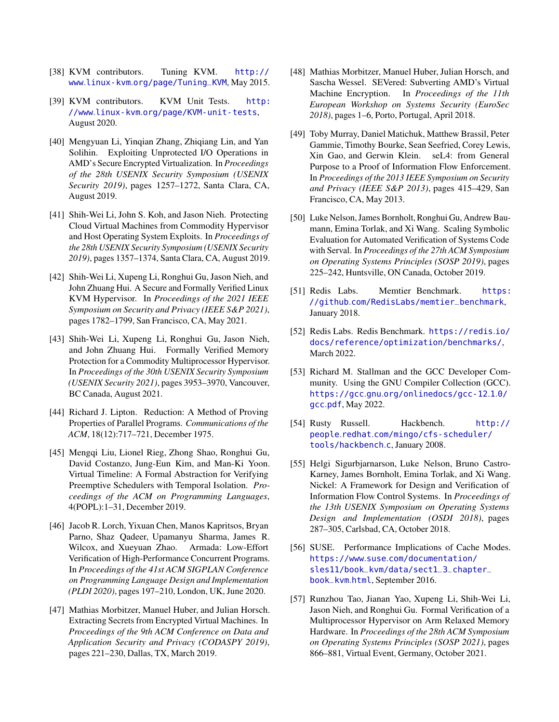- <span id="page-18-9"></span>[38] KVM contributors. Tuning KVM. [http://](http://www.linux-kvm.org/page/Tuning_KVM) www.linux-kvm.[org/page/Tuning\\_KVM](http://www.linux-kvm.org/page/Tuning_KVM), May 2015.
- <span id="page-18-11"></span>[39] KVM contributors. KVM Unit Tests. [http:](http://www.linux-kvm.org/page/KVM-unit-tests) //www.linux-kvm.[org/page/KVM-unit-tests](http://www.linux-kvm.org/page/KVM-unit-tests), August 2020.
- <span id="page-18-15"></span>[40] Mengyuan Li, Yinqian Zhang, Zhiqiang Lin, and Yan Solihin. Exploiting Unprotected I/O Operations in AMD's Secure Encrypted Virtualization. In *Proceedings of the 28th USENIX Security Symposium (USENIX Security 2019)*, pages 1257–1272, Santa Clara, CA, August 2019.
- <span id="page-18-18"></span>[41] Shih-Wei Li, John S. Koh, and Jason Nieh. Protecting Cloud Virtual Machines from Commodity Hypervisor and Host Operating System Exploits. In *Proceedings of the 28th USENIX Security Symposium (USENIX Security 2019)*, pages 1357–1374, Santa Clara, CA, August 2019.
- <span id="page-18-0"></span>[42] Shih-Wei Li, Xupeng Li, Ronghui Gu, Jason Nieh, and John Zhuang Hui. A Secure and Formally Verified Linux KVM Hypervisor. In *Proceedings of the 2021 IEEE Symposium on Security and Privacy (IEEE S&P 2021)*, pages 1782–1799, San Francisco, CA, May 2021.
- <span id="page-18-1"></span>[43] Shih-Wei Li, Xupeng Li, Ronghui Gu, Jason Nieh, and John Zhuang Hui. Formally Verified Memory Protection for a Commodity Multiprocessor Hypervisor. In *Proceedings of the 30th USENIX Security Symposium (USENIX Security 2021)*, pages 3953–3970, Vancouver, BC Canada, August 2021.
- <span id="page-18-3"></span>[44] Richard J. Lipton. Reduction: A Method of Proving Properties of Parallel Programs. *Communications of the ACM*, 18(12):717–721, December 1975.
- <span id="page-18-19"></span>[45] Mengqi Liu, Lionel Rieg, Zhong Shao, Ronghui Gu, David Costanzo, Jung-Eun Kim, and Man-Ki Yoon. Virtual Timeline: A Formal Abstraction for Verifying Preemptive Schedulers with Temporal Isolation. *Proceedings of the ACM on Programming Languages*, 4(POPL):1–31, December 2019.
- <span id="page-18-5"></span>[46] Jacob R. Lorch, Yixuan Chen, Manos Kapritsos, Bryan Parno, Shaz Qadeer, Upamanyu Sharma, James R. Wilcox, and Xueyuan Zhao. Armada: Low-Effort Verification of High-Performance Concurrent Programs. In *Proceedings of the 41st ACM SIGPLAN Conference on Programming Language Design and Implementation (PLDI 2020)*, pages 197–210, London, UK, June 2020.
- <span id="page-18-16"></span>[47] Mathias Morbitzer, Manuel Huber, and Julian Horsch. Extracting Secrets from Encrypted Virtual Machines. In *Proceedings of the 9th ACM Conference on Data and Application Security and Privacy (CODASPY 2019)*, pages 221–230, Dallas, TX, March 2019.
- <span id="page-18-17"></span>[48] Mathias Morbitzer, Manuel Huber, Julian Horsch, and Sascha Wessel. SEVered: Subverting AMD's Virtual Machine Encryption. In *Proceedings of the 11th European Workshop on Systems Security (EuroSec 2018)*, pages 1–6, Porto, Portugal, April 2018.
- <span id="page-18-7"></span>[49] Toby Murray, Daniel Matichuk, Matthew Brassil, Peter Gammie, Timothy Bourke, Sean Seefried, Corey Lewis, Xin Gao, and Gerwin Klein. seL4: from General Purpose to a Proof of Information Flow Enforcement. In *Proceedings of the 2013 IEEE Symposium on Security and Privacy (IEEE S&P 2013)*, pages 415–429, San Francisco, CA, May 2013.
- <span id="page-18-2"></span>[50] Luke Nelson, James Bornholt, Ronghui Gu, Andrew Baumann, Emina Torlak, and Xi Wang. Scaling Symbolic Evaluation for Automated Verification of Systems Code with Serval. In *Proceedings of the 27th ACM Symposium on Operating Systems Principles (SOSP 2019)*, pages 225–242, Huntsville, ON Canada, October 2019.
- <span id="page-18-13"></span>[51] Redis Labs. Memtier Benchmark. [https:](https://github.com/RedisLabs/memtier_benchmark) //github.[com/RedisLabs/memtier\\_benchmark](https://github.com/RedisLabs/memtier_benchmark), January 2018.
- <span id="page-18-14"></span>[52] Redis Labs. Redis Benchmark. [https://redis](https://redis.io/docs/reference/optimization/benchmarks/).io/ [docs/reference/optimization/benchmarks/](https://redis.io/docs/reference/optimization/benchmarks/), March 2022.
- <span id="page-18-6"></span>[53] Richard M. Stallman and the GCC Developer Community. Using the GNU Compiler Collection (GCC). https://gcc.gnu.[org/onlinedocs/gcc-12](https://gcc.gnu.org/onlinedocs/gcc-12.1.0/gcc.pdf).1.0/ [gcc](https://gcc.gnu.org/onlinedocs/gcc-12.1.0/gcc.pdf).pdf, May 2022.
- <span id="page-18-12"></span>[54] Rusty Russell. Hackbench. [http://](http://people.redhat.com/mingo/cfs-scheduler/tools/hackbench.c) people.redhat.[com/mingo/cfs-scheduler/](http://people.redhat.com/mingo/cfs-scheduler/tools/hackbench.c) [tools/hackbench](http://people.redhat.com/mingo/cfs-scheduler/tools/hackbench.c).c, January 2008.
- <span id="page-18-8"></span>[55] Helgi Sigurbjarnarson, Luke Nelson, Bruno Castro-Karney, James Bornholt, Emina Torlak, and Xi Wang. Nickel: A Framework for Design and Verification of Information Flow Control Systems. In *Proceedings of the 13th USENIX Symposium on Operating Systems Design and Implementation (OSDI 2018)*, pages 287–305, Carlsbad, CA, October 2018.
- <span id="page-18-10"></span>[56] SUSE. Performance Implications of Cache Modes. https://www.suse.[com/documentation/](https://www.suse.com/documentation/sles11/book_kvm/data/sect1_3_chapter _book_kvm.html) [sles11/book\\_kvm/data/sect1\\_3\\_chapter\\_](https://www.suse.com/documentation/sles11/book_kvm/data/sect1_3_chapter _book_kvm.html) [book\\_kvm](https://www.suse.com/documentation/sles11/book_kvm/data/sect1_3_chapter _book_kvm.html).html, September 2016.
- <span id="page-18-4"></span>[57] Runzhou Tao, Jianan Yao, Xupeng Li, Shih-Wei Li, Jason Nieh, and Ronghui Gu. Formal Verification of a Multiprocessor Hypervisor on Arm Relaxed Memory Hardware. In *Proceedings of the 28th ACM Symposium on Operating Systems Principles (SOSP 2021)*, pages 866–881, Virtual Event, Germany, October 2021.